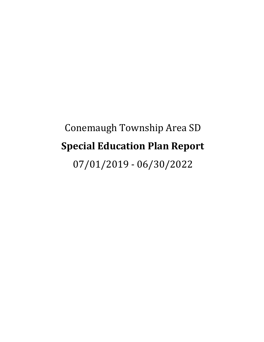# Conemaugh Township Area SD **Special Education Plan Report** 07/01/2019 - 06/30/2022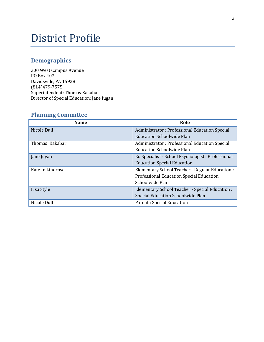## District Profile

## **Demographics**

300 West Campus Avenue PO Box 407 Davidsville, PA 15928 (814)479-7575 Superintendent: Thomas Kakabar Director of Special Education: Jane Jugan

## **Planning Committee**

| <b>Name</b>      | Role                                               |
|------------------|----------------------------------------------------|
| Nicole Dull      | Administrator: Professional Education Special      |
|                  | Education Schoolwide Plan                          |
| Thomas Kakabar   | Administrator: Professional Education Special      |
|                  | <b>Education Schoolwide Plan</b>                   |
| Jane Jugan       | Ed Specialist - School Psychologist : Professional |
|                  | <b>Education Special Education</b>                 |
| Katelin Lindrose | Elementary School Teacher - Regular Education :    |
|                  | Professional Education Special Education           |
|                  | Schoolwide Plan                                    |
| Lisa Style       | Elementary School Teacher - Special Education :    |
|                  | Special Education Schoolwide Plan                  |
| Nicole Dull      | Parent: Special Education                          |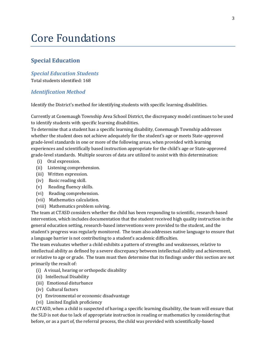## Core Foundations

#### **Special Education**

#### *Special Education Students*

Total students identified: 168

#### *Identification Method*

Identify the District's method for identifying students with specific learning disabilities.

Currently at Conemaugh Township Area School District, the discrepancy model continues to be used to identify students with specific learning disabilities.

To determine that a student has a specific learning disability, Conemaugh Township addresses whether the student does not achieve adequately for the student's age or meets State-approved grade-level standards in one or more of the following areas, when provided with learning experiences and scientifically based instruction appropriate for the child's age or State-approved grade-level standards. Multiple sources of data are utilized to assist with this determination:

- (i) Oral expression.
- (ii) Listening comprehension.
- (iii) Written expression.
- (iv) Basic reading skill.
- (v) Reading fluency skills.
- (vi) Reading comprehension.
- (vii) Mathematics calculation.
- (viii) Mathematics problem solving.

The team at CTASD considers whether the child has been responding to scientific, research-based intervention, which includes documentation that the student received high quality instruction in the general education setting, research-based interventions were provided to the student, and the student's progress was regularly monitored. The team also addresses native language to ensure that a language barrier is not contributing to a student's academic difficulties.

The team evaluates whether a child exhibits a pattern of strengths and weaknesses, relative to intellectual ability as defined by a severe discrepancy between intellectual ability and achievement, or relative to age or grade. The team must then determine that its findings under this section are not primarily the result of:

- (i) A visual, hearing or orthopedic disability
- (ii) Intellectual Disability
- (iii) Emotional disturbance
- (iv) Cultural factors
- (v) Environmental or economic disadvantage
- (vi) Limited English proficiency

At CTASD, when a child is suspected of having a specific learning disability, the team will ensure that the SLD is not due to lack of appropriate instruction in reading or mathematics by considering that before, or as a part of, the referral process, the child was provided with scientifically-based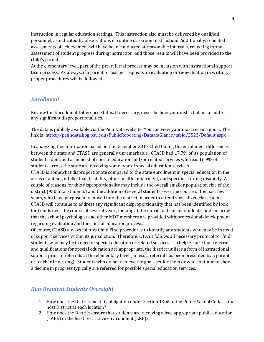instruction in regular education settings. This instruction also must be delivered by qualified personnel, as indicated by observations of routine classroom instruction. Additionally, repeated assessments of achievement will have been conducted at reasonable intervals, reflecting formal assessment of student progress during instruction, and those results will have been provided to the child's parents.

At the elementary level, part of the pre-referral process may be inclusion with instructional support team process. As always, if a parent or teacher requests an evaluation or re-evaluation in writing, proper procedures will be followed.

#### *Enrollment*

Review the Enrollment Difference Status. If necessary, describe how your district plans to address any significant disproportionalities.

The data is publicly available via the PennData website. You can view your most recent report. The link is[: https://penndata.hbg.psu.edu/PublicReporting/DataataGlance/tabid/2523/Default.aspx](https://penndata.hbg.psu.edu/PublicReporting/DataataGlance/tabid/2523/Default.aspx)

In analyzing the information based on the December 2017 Child Count, the enrollment differences between the state and CTASD are generally unremarkable. CTASD had 17.7% of its population of students identified as in need of special education and/or related services whereas 16.9% of students across the state are receiving some type of special education services.

CTASD is somewhat disproportionate compared to the state enrollment in special education in the areas of autism, intellectual disability, other health impairment, and specific learning disability. A couple of reasons for this disproportionality may include the overall smaller population size of the district (950 total students) and the addition of several students, over the course of the past few years, who have purposefully moved into the district in order to attend specialized classrooms. CTASD will continue to address any significant disproportionality that has been identified by look for trends over the course of several years, looking at the impact of transfer students, and ensuring that the school psychologist and other MDT members are provided with professional development regarding evaluation and the special education process.

Of course, CTASD always follows Child Find procedures to identify any students who may be in need of support services within its jurisdiction. Therefore, CTASD follows all necessary protocol to "find" students who may be in need of special education or related services. To help ensure that referrals and qualifications for special education are appropriate, the district utilizes a form of instructional support prior to referrals at the elementary level (unless a referral has been presented by a parent or teacher in writing). Students who do not achieve the goals set for them or who continue to show a decline in progress typically are referred for possible special education services.

#### *Non-Resident Students Oversight*

- 1. How does the District meet its obligation under Section 1306 of the Public School Code as the host District at each location?
- 2. How does the District ensure that students are receiving a free appropriate public education (FAPE) in the least restrictive environment (LRE)?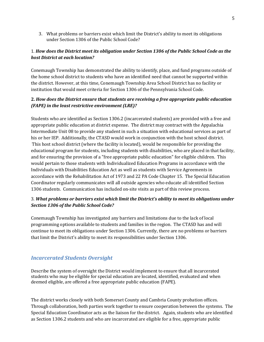3. What problems or barriers exist which limit the District's ability to meet its obligations under Section 1306 of the Public School Code?

#### 1. *How does the District meet its obligation under Section 1306 of the Public School Code as the host District at each location?*

Conemaugh Township has demonstrated the ability to identify, place, and fund programs outside of the home school district to students who have an identified need that cannot be supported within the district. However, at this time, Conemaugh Township Area School District has no facility or institution that would meet criteria for Section 1306 of the Pennsylvania School Code.

#### **2.** *How does the District ensure that students are receiving a free appropriate public education (FAPE) in the least restrictive environment (LRE)?*

Students who are identified as Section 1306.2 (incarcerated students) are provided with a free and appropriate public education at district expense. The district may contract with the Appalachia Intermediate Unit 08 to provide any student in such a situation with educational services as part of his or her IEP. Additionally, the CTASD would work in conjunction with the host school district. This host school district (where the facility is located), would be responsible for providing the educational program for students, including students with disabilities, who are placed in that facility, and for ensuring the provision of a "free appropriate public education" for eligible children. This would pertain to those students with Individualized Education Programs in accordance with the Individuals with Disabilities Education Act as well as students with Service Agreements in accordance with the Rehabilitation Act of 1973 and 22 PA Code Chapter 15. The Special Education Coordinator regularly communicates will all outside agencies who educate all identified Section 1306 students. Communication has included on-site visits as part of this review process.

#### 3. *What problems or barriers exist which limit the District's ability to meet its obligations under Section 1306 of the Public School Code?*

Conemaugh Township has investigated any barriers and limitations due to the lack of local programming options available to students and families in the region. The CTASD has and will continue to meet its obligations under Section 1306. Currently, there are no problems or barriers that limit the District's ability to meet its responsibilities under Section 1306.

### *Incarcerated Students Oversight*

Describe the system of oversight the District would implement to ensure that all incarcerated students who may be eligible for special education are located, identified, evaluated and when deemed eligible, are offered a free appropriate public education (FAPE).

The district works closely with both Somerset County and Cambria County probation offices. Through collaboration, both parties work together to ensure cooperation between the systems. The Special Education Coordinator acts as the liaison for the district. Again, students who are identified as Section 1306.2 students and who are incarcerated are eligible for a free, appropriate public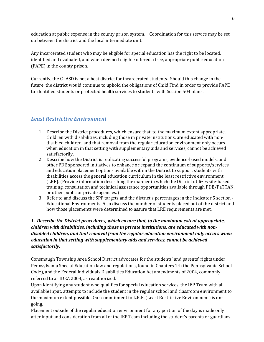education at public expense in the county prison system. Coordination for this service may be set up between the district and the local intermediate unit.

Any incarcerated student who may be eligible for special education has the right to be located, identified and evaluated, and when deemed eligible offered a free, appropriate public education (FAPE) in the county prison.

Currently, the CTASD is not a host district for incarcerated students. Should this change in the future, the district would continue to uphold the obligations of Child Find in order to provide FAPE to identified students or protected health services to students with Section 504 plans.

#### *Least Restrictive Environment*

- 1. Describe the District procedures, which ensure that, to the maximum extent appropriate, children with disabilities, including those in private institutions, are educated with nondisabled children, and that removal from the regular education environment only occurs when education in that setting with supplementary aids and services, cannot be achieved satisfactorily.
- 2. Describe how the District is replicating successful programs, evidence-based models, and other PDE sponsored initiatives to enhance or expand the continuum of supports/services and education placement options available within the District to support students with disabilities access the general education curriculum in the least restrictive environment (LRE). (Provide information describing the manner in which the District utilizes site-based training, consultation and technical assistance opportunities available through PDE/PaTTAN, or other public or private agencies.)
- 3. Refer to and discuss the SPP targets and the district's percentages in the Indicator 5 section Educational Environments. Also discuss the number of students placed out of the district and how those placements were determined to assure that LRE requirements are met.

#### *1. Describe the District procedures, which ensure that, to the maximum extent appropriate, children with disabilities, including those in private institutions, are educated with nondisabled children, and that removal from the regular education environment only occurs when education in that setting with supplementary aids and services, cannot be achieved satisfactorily.*

Conemaugh Township Area School District advocates for the students' and parents' rights under Pennsylvania Special Education law and regulations, found in Chapters 14 (the Pennsylvania School Code), and the Federal Individuals Disabilities Education Act amendments of 2004, commonly referred to as IDEA 2004, as reauthorized.

Upon identifying any student who qualifies for special education services, the IEP Team with all available input, attempts to include the student in the regular school and classroom environment to the maximum extent possible. Our commitment to L.R.E. (Least Restrictive Environment) is ongoing.

Placement outside of the regular education environment for any portion of the day is made only after input and consideration from all of the IEP Team including the student's parents or guardians.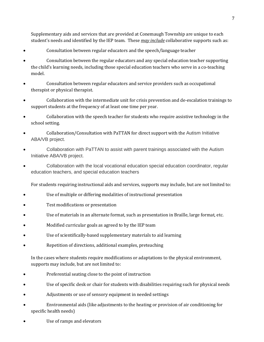Supplementary aids and services that are provided at Conemaugh Township are unique to each student's needs and identified by the IEP team. These *may include* collaborative supports such as:

- Consultation between regular educators and the speech/language teacher
- Consultation between the regular educators and any special education teacher supporting the child's learning needs, including those special education teachers who serve in a co-teaching model.
- Consultation between regular educators and service providers such as occupational therapist or physical therapist.
- Collaboration with the intermediate unit for crisis prevention and de-escalation trainings to support students at the frequency of at least one time per year.
- Collaboration with the speech teacher for students who require assistive technology in the school setting.
- Collaboration/Consultation with PaTTAN for direct support with the Autism Initiative ABA/VB project.
- Collaboration with PaTTAN to assist with parent trainings associated with the Autism Initiative ABA/VB project.
- Collaboration with the local vocational education special education coordinator, regular education teachers, and special education teachers

For students requiring instructional aids and services, supports may include, but are not limited to:

- Use of multiple or differing modalities of instructional presentation
- Test modifications or presentation
- Use of materials in an alternate format, such as presentation in Braille, large format, etc.
- Modified curricular goals as agreed to by the IEP team
- Use of scientifically-based supplementary materials to aid learning
- Repetition of directions, additional examples, preteaching

In the cases where students require modifications or adaptations to the physical environment, supports may include, but are not limited to:

- Preferential seating close to the point of instruction
- Use of specific desk or chair for students with disabilities requiring such for physical needs
- Adjustments or use of sensory equipment in needed settings
- Environmental aids (like adjustments to the heating or provision of air conditioning for specific health needs)
- Use of ramps and elevators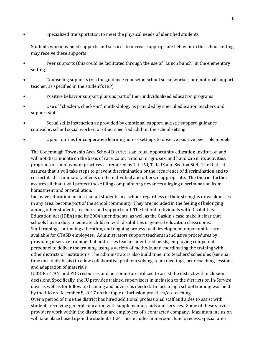• Specialized transportation to meet the physical needs of identified students

Students who may need supports and services to increase appropriate behavior in the school setting may receive these supports:

- Peer supports (this could be facilitated through the use of "Lunch bunch" in the elementary setting)
- Counseling supports (via the guidance counselor, school social worker, or emotional support teacher, as specified in the student's IEP)
- Positive behavior support plans as part of their individualized education programs
- Use of "check-in, check-out" methodology as provided by special education teachers and support staff
- Social skills instruction as provided by emotional support, autistic support, guidance counselor, school social worker, or other specified adult in the school setting
- Opportunities for cooperative learning across settings to observe positive peer role models

The Conemaugh Township Area School District is an equal opportunity education institution and will not discriminate on the basis of race, color, national origin, sex, and handicap in its activities, programs or employment practices as required by Title VI, Title IX and Section 504. The District assures that it will take steps to prevent discrimination or the recurrence of discrimination and to correct its discriminatory effects on the individual and others, if appropriate. The District further assures all that it will protect those filing complaint or grievances alleging discrimination from harassment and or retaliation.

Inclusive education means that all students in a school, regardless of their strengths or weaknesses in any area, become part of the school community. They are included in the feeling of belonging among other students, teachers, and support staff. The federal Individuals with Disabilities Education Act (IDEA) and its 2004 amendments, as well as the Gaskin's case make it clear that schools have a duty to educate children with disabilities in general education classrooms. Staff training, continuing education, and ongoing professional development opportunities are available for CTASD employees. Administrators support teachers in inclusive procedures by providing inservice training that addresses teacher-identified needs; employing competent personnel to deliver the training, using a variety of methods, and coordinating the training with other districts or institutions. The administrators also build time into teachers' schedules (seminar time on a daily basis) to allow collaborative problem solving, team meetings, peer coaching sessions, and adaptation of materials.

IU08, PaTTAN, and PDE resources and personnel are utilized to assist the district with inclusion decisions. Specifically, the IU provides trained supervisors in inclusion to the districts on In-Service days as well as for follow up training and advice, as needed. In fact, a high school training was held by the IU8 on December 8, 2017 on the topic of inclusion practices/co-teaching.

Over a period of time the district has hired additional professional staff and aides to assist with students receiving general education with supplementary aids and services. Some of these service providers work within the district but are employees of a contracted company. Maximum inclusion will take place based upon the student's IEP. This includes homeroom, lunch, recess, special area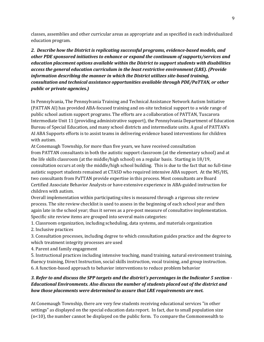classes, assemblies and other curricular areas as appropriate and as specified in each individualized education program.

*2. Describe how the District is replicating successful programs, evidence-based models, and other PDE sponsored initiatives to enhance or expand the continuum of supports/services and education placement options available within the District to support students with disabilities access the general education curriculum in the least restrictive environment (LRE). (Provide information describing the manner in which the District utilizes site-based training, consultation and technical assistance opportunities available through PDE/PaTTAN, or other public or private agencies.)*

In Pennsylvania, The Pennsylvania Training and Technical Assistance Network Autism Initiative (PATTAN AI) has provided ABA-focused training and on-site technical support to a wide range of public school autism support programs. The efforts are a collaboration of PATTAN, Tuscarora Intermediate Unit 11 (providing administrative support), the Pennsylvania Department of Education Bureau of Special Education, and many school districts and intermediate units. A goal of PATTAN's AI ABA Supports efforts is to assist teams in delivering evidence based interventions for children with autism.

At Conemaugh Township, for more than five years, we have received consultation

from PATTAN consultants in both the autistic support classroom (at the elementary school) and at the life skills classroom (at the middle/high school) on a regular basis. Starting in 18/19, consultation occurs at only the middle/high school building. This is due to the fact that no full-time autistic support students remained at CTASD who required intensive ABA support. At the MS/HS, two consultants from PaTTAN provide expertise in this process. Most consultants are Board Certified Associate Behavior Analysts or have extensive experience in ABA-guided instruction for children with autism.

Overall implementation within participating sites is measured through a rigorous site review process. The site review checklist is used to assess in the beginning of each school year and then again late in the school year; thus it serves as a pre-post measure of consultative implementation. Specific site review items are grouped into several main categories:

1. Classroom organization, including scheduling, data systems, and materials organization

2. Inclusive practices

3. Consultation processes, including degree to which consultation guides practice and the degree to which treatment integrity processes are used

4. Parent and family engagement

5. Instructional practices including intensive teaching, mand training, natural environment training, fluency training, Direct Instruction, social skills instruction, vocal training, and group instruction. 6. A function-based approach to behavior interventions to reduce problem behavior

#### *3. Refer to and discuss the SPP targets and the district's percentages in the Indicator 5 section - Educational Environments. Also discuss the number of students placed out of the district and how those placements were determined to assure that LRE requirements are met.*

At Conemaugh Township, there are very few students receiving educational services "in other settings" as displayed on the special education data report. In fact, due to small population size (n<10), the number cannot be displayed on the public form. To compare the Commonwealth to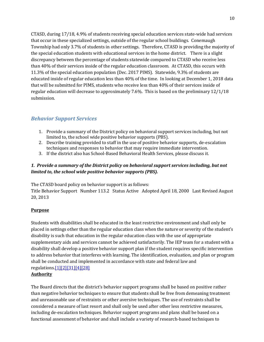CTASD, during 17/18, 4.9% of students receiving special education services state-wide had services that occur in these specialized settings, outside of the regular school buildings. Conemaugh Township had only 3.7% of students in other settings. Therefore, CTASD is providing the majority of the special education students with educational services in the home district. There is a slight discrepancy between the percentage of students statewide compared to CTASD who receive less than 40% of their services inside of the regular education classroom. At CTASD, this occurs with 11.3% of the special education population (Dec. 2017 PIMS). Statewide, 9.3% of students are educated inside of regular education less than 40% of the time. In looking at December 1, 2018 data that will be submitted for PIMS, students who receive less than 40% of their services inside of regular education will decrease to approximately 7.6%. This is based on the preliminary 12/1/18 submission.

### *Behavior Support Services*

- 1. Provide a summary of the District policy on behavioral support services including, but not limited to, the school wide positive behavior supports (PBS).
- 2. Describe training provided to staff in the use of positive behavior supports, de-escalation techniques and responses to behavior that may require immediate intervention.
- 3. If the district also has School-Based Behavioral Health Services, please discuss it.

#### *1. Provide a summary of the District policy on behavioral support services including, but not limited to, the school wide positive behavior supports (PBS).*

The CTASD board policy on behavior support is as follows:

Title Behavior Support Number 113.2 Status Active Adopted April 18, 2000 Last Revised August 20, 2013

#### **Purpose**

Students with disabilities shall be educated in the least restrictive environment and shall only be placed in settings other than the regular education class when the nature or severity of the student's disability is such that education in the regular education class with the use of appropriate supplementary aids and services cannot be achieved satisfactorily. The IEP team for a student with a disability shall develop a positive behavior support plan if the student requires specific intervention to address behavior that interferes with learning. The identification, evaluation, and plan or program shall be conducted and implemented in accordance with state and federal law and regulation[s.\[1\]\[2\]](http://www.pacode.com/secure/data/022/chapter14/s14.133.html)[\[31\]\[4\]](http://www.law.cornell.edu/uscode/text/20/1414)[\[28\]](http://www.law.cornell.edu/cfr/text/34/300.324)

#### **Authority**

The Board directs that the district's behavior support programs shall be based on positive rather than negative behavior techniques to ensure that students shall be free from demeaning treatment and unreasonable use of restraints or other aversive techniques. The use of restraints shall be considered a measure of last resort and shall only be used after other less restrictive measures, including de-escalation techniques. Behavior support programs and plans shall be based on a functional assessment of behavior and shall include a variety of research-based techniques to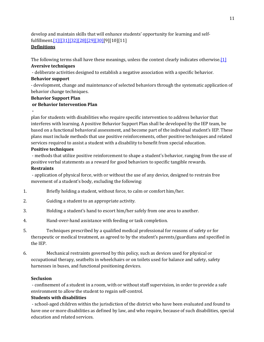develop and maintain skills that will enhance students' opportunity for learning and selffulfillmen[t.\[1\]\[](http://www.pacode.com/secure/data/022/chapter14/s14.133.html)[\[31\]\[32\]](http://www.law.cornell.edu/uscode/text/20/1414)[\[28\]\[29\]](http://www.law.cornell.edu/cfr/text/34/300.324)[\[30\]\[](http://www.law.cornell.edu/cfr/text/34/300.530)9][10][11]

#### **Definitions**

The following terms shall have these meanings, unless the context clearly indicates otherwis[e.\[1\]](http://www.pacode.com/secure/data/022/chapter14/s14.133.html)

#### **Aversive techniques**

- deliberate activities designed to establish a negative association with a specific behavior.

#### **Behavior support**

- development, change and maintenance of selected behaviors through the systematic application of behavior change techniques.

#### **Behavior Support Plan**

#### **or Behavior Intervention Plan**

plan for students with disabilities who require specific intervention to address behavior that interferes with learning. A positive Behavior Support Plan shall be developed by the IEP team, be based on a functional behavioral assessment, and become part of the individual student's IEP. These plans must include methods that use positive reinforcements, other positive techniques and related services required to assist a student with a disability to benefit from special education.

#### **Positive techniques**

- methods that utilize positive reinforcement to shape a student's behavior, ranging from the use of positive verbal statements as a reward for good behaviors to specific tangible rewards.

#### **Restraints**

**-**

- application of physical force, with or without the use of any device, designed to restrain free movement of a student's body, excluding the following:

- 1. Briefly holding a student, without force, to calm or comfort him/her.
- 2. Guiding a student to an appropriate activity.
- 3. Holding a student's hand to escort him/her safely from one area to another.
- 4. Hand-over-hand assistance with feeding or task completion.
- 5. Techniques prescribed by a qualified medical professional for reasons of safety or for therapeutic or medical treatment, as agreed to by the student's parents/guardians and specified in the IEP.
- 6. Mechanical restraints governed by this policy, such as devices used for physical or occupational therapy, seatbelts in wheelchairs or on toilets used for balance and safety, safety harnesses in buses, and functional positioning devices.

#### **Seclusion**

- confinement of a student in a room, with or without staff supervision, in order to provide a safe environment to allow the student to regain self-control.

#### **Students with disabilities**

- school-aged children within the jurisdiction of the district who have been evaluated and found to have one or more disabilities as defined by law, and who require, because of such disabilities, special education and related services.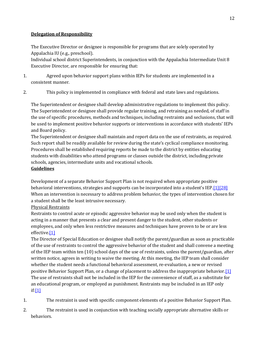#### **Delegation of Responsibility**

The Executive Director or designee is responsible for programs that are solely operated by Appalachia IU (e.g., preschool).

Individual school district Superintendents, in conjunction with the Appalachia Intermediate Unit 8 Executive Director, are responsible for ensuring that:

- 1. Agreed upon behavior support plans within IEPs for students are implemented in a consistent manner.
- 2. This policy is implemented in compliance with federal and state laws and regulations.

The Superintendent or designee shall develop administrative regulations to implement this policy. The Superintendent or designee shall provide regular training, and retraining as needed, of staff in the use of specific procedures, methods and techniques, including restraints and seclusions, that will be used to implement positive behavior supports or interventions in accordance with students' IEPs and Board policy.

The Superintendent or designee shall maintain and report data on the use of restraints, as required. Such report shall be readily available for review during the state's cyclical compliance monitoring. Procedures shall be established requiring reports be made to the district by entities educating students with disabilities who attend programs or classes outside the district, including private schools, agencies, intermediate units and vocational schools.

#### **Guidelines**

Development of a separate Behavior Support Plan is not required when appropriate positive behavioral interventions, strategies and supports can be incorporated into a student's IE[P.\[1\]\[28\]](http://www.pacode.com/secure/data/022/chapter14/s14.133.html) When an intervention is necessary to address problem behavior, the types of intervention chosen for a student shall be the least intrusive necessary.

#### Physical Restraints

Restraints to control acute or episodic aggressive behavior may be used only when the student is acting in a manner that presents a clear and present danger to the student, other students or employees, and only when less restrictive measures and techniques have proven to be or are less effectiv[e.\[1\]](http://www.pacode.com/secure/data/022/chapter14/s14.133.html)

The Director of Special Education or designee shall notify the parent/guardian as soon as practicable of the use of restraints to control the aggressive behavior of the student and shall convene a meeting of the IEP team within ten (10) school days of the use of restraints, unless the parent/guardian, after written notice, agrees in writing to waive the meeting. At this meeting, the IEP team shall consider whether the student needs a functional behavioral assessment, re-evaluation, a new or revised positive Behavior Support Plan, or a change of placement to address the inappropriate behavio[r.\[1\]](http://www.pacode.com/secure/data/022/chapter14/s14.133.html) The use of restraints shall not be included in the IEP for the convenience of staff, as a substitute for an educational program, or employed as punishment. Restraints may be included in an IEP only if[:\[1\]](http://www.pacode.com/secure/data/022/chapter14/s14.133.html)

- 1. The restraint is used with specific component elements of a positive Behavior Support Plan.
- 2. The restraint is used in conjunction with teaching socially appropriate alternative skills or behaviors.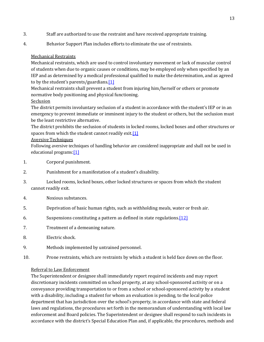- 3. Staff are authorized to use the restraint and have received appropriate training.
- 4. Behavior Support Plan includes efforts to eliminate the use of restraints.

#### Mechanical Restraints

Mechanical restraints, which are used to control involuntary movement or lack of muscular control of students when due to organic causes or conditions, may be employed only when specified by an IEP and as determined by a medical professional qualified to make the determination, and as agreed to by the student's parents/guardian[s.\[1\]](http://www.pacode.com/secure/data/022/chapter14/s14.133.html)

Mechanical restraints shall prevent a student from injuring him/herself or others or promote normative body positioning and physical functioning.

Seclusion

The district permits involuntary seclusion of a student in accordance with the student's IEP or in an emergency to prevent immediate or imminent injury to the student or others, but the seclusion must be the least restrictive alternative.

The district prohibits the seclusion of students in locked rooms, locked boxes and other structures or spaces from which the student cannot readily exit.<sup>[1]</sup>

#### Aversive Techniques

Following aversive techniques of handling behavior are considered inappropriate and shall not be used in educational programs: [\[1\]](http://www.pacode.com/secure/data/022/chapter14/s14.133.html)

- 1. Corporal punishment.
- 2. Punishment for a manifestation of a student's disability.
- 3. Locked rooms, locked boxes, other locked structures or spaces from which the student cannot readily exit.
- 4. Noxious substances.
- 5. Deprivation of basic human rights, such as withholding meals, water or fresh air.
- 6. Suspensions constituting a pattern as defined in state regulations[.\[12\]](http://www.pacode.com/secure/data/022/chapter14/s14.143.html)
- 7. Treatment of a demeaning nature.
- 8. Electric shock.
- 9. Methods implemented by untrained personnel.
- 10. Prone restraints, which are restraints by which a student is held face down on the floor.

#### Referral to Law Enforcement

The Superintendent or designee shall immediately report required incidents and may report discretionary incidents committed on school property, at any school-sponsored activity or on a conveyance providing transportation to or from a school or school-sponsored activity by a student with a disability, including a student for whom an evaluation is pending, to the local police department that has jurisdiction over the school's property, in accordance with state and federal laws and regulations, the procedures set forth in the memorandum of understanding with local law enforcement and Board policies. The Superintendent or designee shall respond to such incidents in accordance with the district's Special Education Plan and, if applicable, the procedures, methods and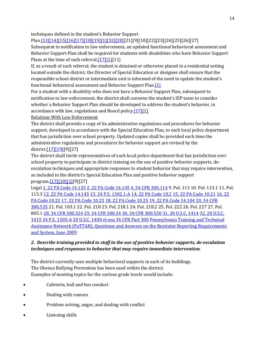techniques defined in the student's Behavior Support

Plan[.\[13\]\[14\]](http://www.legis.state.pa.us/cfdocs/legis/LI/uconsCheck.cfm?txtType=HTM&yr=1949&sessInd=0&smthLwInd=0&act=14&chpt=13A&sctn=2&subsctn=1)[\[15\]\[16\]](http://www.pacode.com/secure/data/022/chapter10/s10.21.html)[\[17\]\[18\]](http://www.pacode.com/secure/data/022/chapter10/s10.23.html)[\[19\]\[1\]](http://www.pacode.com/secure/data/022/chapter14/s14.104.html)[\[32\]\[20\]\[](http://www.law.cornell.edu/uscode/text/20/1415)21][9][10][22][23][24][25][26][27]

Subsequent to notification to law enforcement, an updated functional behavioral assessment and Behavior Support Plan shall be required for students with disabilities who have Behavior Support Plans at the time of such referral. $[17][1][11]$ 

If, as a result of such referral, the student is detained or otherwise placed in a residential setting located outside the district, the Director of Special Education or designee shall ensure that the responsible school district or intermediate unit is informed of the need to update the student's functional behavioral assessment and Behavior Support Pla[n.\[1\]](http://www.pacode.com/secure/data/022/chapter14/s14.133.html)

For a student with a disability who does not have a Behavior Support Plan, subsequent to notification to law enforcement, the district shall convene the student's IEP team to consider whether a Behavior Support Plan should be developed to address the student's behavior, in accordance with law, regulations and Board polic[y.\[17\]\[1\]](http://www.pacode.com/secure/data/022/chapter10/s10.23.html)

#### Relations With Law Enforcement

The district shall provide a copy of its administrative regulations and procedures for behavior support, developed in accordance with the Special Education Plan, to each local police department that has jurisdiction over school property. Updated copies shall be provided each time the administrative regulations and procedures for behavior support are revised by the district[.\[17\]\[19\]\[](http://www.pacode.com/secure/data/022/chapter10/s10.23.html)9][27]

The district shall invite representatives of each local police department that has jurisdiction over school property to participate in district training on the use of positive behavior supports, deescalation techniques and appropriate responses to student behavior that may require intervention, as included in the district's Special Education Plan and positive behavior support progra[m.\[17\]\[19\]](http://www.pacode.com/secure/data/022/chapter10/s10.23.html)[\[1\]\[](http://www.pacode.com/secure/data/022/chapter14/s14.133.html)9][27]

Legal [1. 22 PA Code 14.133](http://www.pacode.com/secure/data/022/chapter14/s14.133.html) [2. 22 PA Code 14.145](http://www.pacode.com/secure/data/022/chapter14/s14.145.html) [4. 34 CFR 300.114](http://www.law.cornell.edu/cfr/text/34/300.114) 9. Pol. 113 10. Pol. 113.1 11. Pol. 113.3 [12. 22 PA Code 14.143](http://www.pacode.com/secure/data/022/chapter14/s14.143.html) [13. 24 P.S. 1302.1-A](http://www.legis.state.pa.us/cfdocs/legis/LI/uconsCheck.cfm?txtType=HTM&yr=1949&sessInd=0&smthLwInd=0&act=14&chpt=13A&sctn=2&subsctn=1) [14. 22 PA Code 10.2](http://www.pacode.com/secure/data/022/chapter10/s10.2.html) [15. 22 PA Code 10.21](http://www.pacode.com/secure/data/022/chapter10/s10.21.html) [16. 22](http://www.pacode.com/secure/data/022/chapter10/s10.22.html)  [PA Code 10.22](http://www.pacode.com/secure/data/022/chapter10/s10.22.html) [17. 22 PA Code 10.23](http://www.pacode.com/secure/data/022/chapter10/s10.23.html) [18. 22 PA Code 10.25](http://www.pacode.com/secure/data/022/chapter10/s10.25.html) [19. 22 PA Code 14.104](http://www.pacode.com/secure/data/022/chapter14/s14.104.html) [20. 34 CFR](http://www.law.cornell.edu/cfr/text/34/300.535)  [300.535](http://www.law.cornell.edu/cfr/text/34/300.535) 21. Pol. 103.1 22. Pol. 218 23. Pol. 218.1 24. Pol. 218.2 25. Pol. 222 26. Pol. 227 27. Pol. 805.1 [28. 34 CFR 300.324](http://www.law.cornell.edu/cfr/text/34/300.324) [29. 34 CFR 300.34](http://www.law.cornell.edu/cfr/text/34/300.34) [30. 34 CFR 300.530](http://www.law.cornell.edu/cfr/text/34/300.530) [31. 20 U.S.C. 1414](http://www.law.cornell.edu/uscode/text/20/1414) [32. 20 U.S.C.](http://www.law.cornell.edu/uscode/text/20/1415)  [1415](http://www.law.cornell.edu/uscode/text/20/1415) [24 P.S. 1303-A](http://www.legis.state.pa.us/cfdocs/legis/LI/uconsCheck.cfm?txtType=HTM&yr=1949&sessInd=0&smthLwInd=0&act=14&chpt=13A&sctn=3&subsctn=0) [20 U.S.C. 1400 et seq](http://www.law.cornell.edu/uscode/text/20/chapter-33) [34 CFR Part 300](http://www.law.cornell.edu/cfr/text/34/part-300) [Pennsylvania Training and Technical](http://www.pattan.net/)  [Assistance Network \(PaTTAN\), Questions and Answers on the Restraint Reporting Requirements](http://www.pattan.net/)  [and System, June 2009](http://www.pattan.net/)

#### *2. Describe training provided to staff in the use of positive behavior supports, de-escalation techniques and responses to behavior that may require immediate intervention.*

The district currently uses multiple behavioral supports in each of its buildings. The Olweus Bullying Prevention has been used within the district. Examples of meeting topics for the various grade levels would include:

- Cafeteria, hall and bus conduct
- Dealing with rumors
- Problem solving, anger, and dealing with conflict
- Listening skills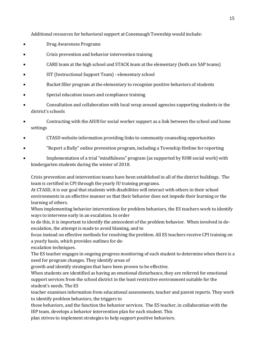Additional resources for behavioral support at Conemaugh Township would include:

- Drug Awareness Programs
- Crisis prevention and behavior intervention training
- CARE team at the high school and STACK team at the elementary (both are SAP teams)
- IST (Instructional Support Team) elementary school
- Bucket filler program at the elementary to recognize positive behaviors of students
- Special education issues and compliance training
- Consultation and collaboration with local wrap around agencies supporting students in the district's schools
- Contracting with the AIU8 for social worker support as a link between the school and home settings
- CTASD website information providing links to community counseling opportunities
- "Report a Bully" online prevention program, including a Township Hotline for reporting
- Implementation of a trial "mindfulness" program (as supported by IU08 social work) with kindergarten students during the winter of 2018.

Crisis prevention and intervention teams have been established in all of the district buildings. The team is certified in CPI through the yearly IU training programs.

At CTASD, it is our goal that students with disabilities will interact with others in their school environments in an effective manner so that their behavior does not impede their learning or the learning of others.

When implementing behavior interventions for problem behaviors, the ES teachers work to identify ways to intervene early in an escalation. In order

to do this, it is important to identify the antecedent of the problem behavior. When involved in deescalation, the attempt is made to avoid blaming, and to

focus instead on effective methods for resolving the problem. All ES teachers receive CPI training on a yearly basis, which provides outlines for de-

escalation techniques.

The ES teacher engages in ongoing progress monitoring of each student to determine when there is a need for program changes. They identify areas of

growth and identify strategies that have been proven to be effective.

When students are identified as having an emotional disturbance, they are referred for emotional support services from the school district in the least restrictive environment suitable for the student's needs. The ES

teacher examines information from educational assessments, teacher and parent reports. They work to identify problem behaviors, the triggers to

those behaviors, and the function the behavior services. The ES teacher, in collaboration with the IEP team, develops a behavior intervention plan for each student. This

plan strives to implement strategies to help support positive behaviors.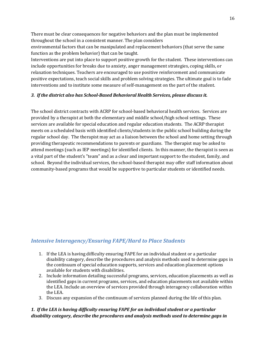There must be clear consequences for negative behaviors and the plan must be implemented throughout the school in a consistent manner. The plan considers

environmental factors that can be manipulated and replacement behaviors (that serve the same function as the problem behavior) that can be taught.

Interventions are put into place to support positive growth for the student. These interventions can include opportunities for breaks due to anxiety, anger management strategies, coping skills, or relaxation techniques. Teachers are encouraged to use positive reinforcement and communicate positive expectations, teach social skills and problem solving strategies. The ultimate goal is to fade interventions and to institute some measure of self-management on the part of the student.

#### *3. If the district also has School-Based Behavioral Health Services, please discuss it.*

The school district contracts with ACRP for school-based behavioral health services. Services are provided by a therapist at both the elementary and middle school/high school settings. These services are available for special education and regular education students. The ACRP therapist meets on a scheduled basis with identified clients/students in the public school building during the regular school day. The therapist may act as a liaison between the school and home setting through providing therapeutic recommendations to parents or guardians. The therapist may be asked to attend meetings (such as IEP meetings) for identified clients. In this manner, the therapist is seen as a vital part of the student's "team" and as a clear and important support to the student, family, and school. Beyond the individual services, the school-based therapist may offer staff information about community-based programs that would be supportive to particular students or identified needs.

#### *Intensive Interagency/Ensuring FAPE/Hard to Place Students*

- 1. If the LEA is having difficulty ensuring FAPE for an individual student or a particular disability category, describe the procedures and analysis methods used to determine gaps in the continuum of special education supports, services and education placement options available for students with disabilities.
- 2. Include information detailing successful programs, services, education placements as well as identified gaps in current programs, services, and education placements not available within the LEA. Include an overview of services provided through interagency collaboration within the LEA.
- 3. Discuss any expansion of the continuum of services planned during the life of this plan.

#### *1. If the LEA is having difficulty ensuring FAPE for an individual student or a particular disability category, describe the procedures and analysis methods used to determine gaps in*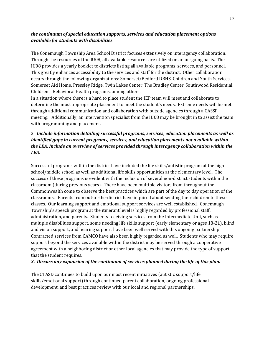#### *the continuum of special education supports, services and education placement options available for students with disabilities.*

The Conemaugh Township Area School District focuses extensively on interagency collaboration. Through the resources of the IU08, all available resources are utilized on an on-going basis. The IU08 provides a yearly booklet to districts listing all available programs, services, and personnel. This greatly enhances accessibility to the services and staff for the district. Other collaboration occurs through the following organizations: Somerset/Bedford DBHS, Children and Youth Services, Somerset Aid Home, Pressley Ridge, Twin Lakes Center, The Bradley Center, Southwood Residential, Children's Behavioral Health programs, among others.

In a situation where there is a hard to place student the IEP team will meet and collaborate to determine the most appropriate placement to meet the student's needs. Extreme needs will be met through additional communication and collaboration with outside agencies through a CASSP meeting. Additionally, an intervention specialist from the IU08 may be brought in to assist the team with programming and placement.

#### 2. *Include information detailing successful programs, services, education placements as well as identified gaps in current programs, services, and education placements not available within the LEA. Include an overview of services provided through interagency collaboration within the LEA.*

Successful programs within the district have included the life skills/autistic program at the high school/middle school as well as additional life skills opportunities at the elementary level. The success of these programs is evident with the inclusion of several non-district students within the classroom (during previous years). There have been multiple visitors from throughout the Commonwealth come to observe the best practices which are part of the day to day operation of the classrooms. Parents from out-of-the-district have inquired about sending their children to these classes. Our learning support and emotional support services are well established. Conemaugh Township's speech program at the itinerant level is highly regarded by professional staff, administration, and parents. Students receiving services from the Intermediate Unit, such as multiple disabilities support, some needing life skills support (early elementary or ages 18-21), blind and vision support, and hearing support have been well served with this ongoing partnership. Contracted services from CAMCO have also been highly regarded as well. Students who may require support beyond the services available within the district may be served through a cooperative agreement with a neighboring district or other local agencies that may provide the type of support that the student requires.

#### *3. Discuss any expansion of the continuum of services planned during the life of this plan.*

The CTASD continues to build upon our most recent initiatives (autistic support/life skills/emotional support) through continued parent collaboration, ongoing professional development, and best practices review with our local and regional partnerships.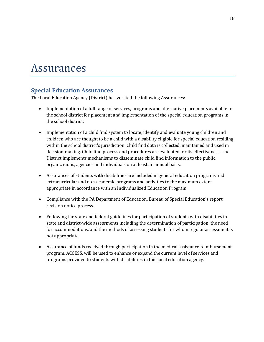## Assurances

### **Special Education Assurances**

The Local Education Agency (District) has verified the following Assurances:

- Implementation of a full range of services, programs and alternative placements available to the school district for placement and implementation of the special education programs in the school district.
- Implementation of a child find system to locate, identify and evaluate young children and children who are thought to be a child with a disability eligible for special education residing within the school district's jurisdiction. Child find data is collected, maintained and used in decision-making. Child find process and procedures are evaluated for its effectiveness. The District implements mechanisms to disseminate child find information to the public, organizations, agencies and individuals on at least an annual basis.
- Assurances of students with disabilities are included in general education programs and extracurricular and non-academic programs and activities to the maximum extent appropriate in accordance with an Individualized Education Program.
- Compliance with the PA Department of Education, Bureau of Special Education's report revision notice process.
- Following the state and federal guidelines for participation of students with disabilities in state and district-wide assessments including the determination of participation, the need for accommodations, and the methods of assessing students for whom regular assessment is not appropriate.
- Assurance of funds received through participation in the medical assistance reimbursement program, ACCESS, will be used to enhance or expand the current level of services and programs provided to students with disabilities in this local education agency.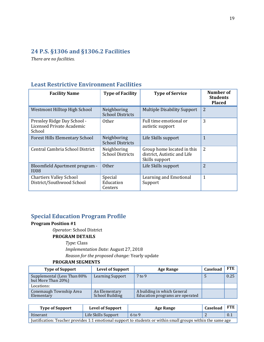## **24 P.S. §1306 and §1306.2 Facilities**

*There are no facilities.*

## **Least Restrictive Environment Facilities**

| <b>Facility Name</b>                                               | <b>Type of Facility</b>                | <b>Type of Service</b>                                                      | Number of<br><b>Students</b><br><b>Placed</b> |
|--------------------------------------------------------------------|----------------------------------------|-----------------------------------------------------------------------------|-----------------------------------------------|
| Westmont Hilltop High School                                       | Neighboring<br><b>School Districts</b> | <b>Multiple Disability Support</b>                                          | $\overline{2}$                                |
| Pressley Ridge Day School -<br>Licensed Private Academic<br>School | <b>Other</b>                           | Full time emotional or<br>autistic support                                  | 3                                             |
| <b>Forest Hills Elementary School</b>                              | Neighboring<br><b>School Districts</b> | Life Skills support                                                         | $\mathbf{1}$                                  |
| Central Cambria School District                                    | Neighboring<br><b>School Districts</b> | Group home located in this<br>district, Autistic and Life<br>Skills support | 2                                             |
| Bloomfield Apartment program -<br>IU08                             | <b>Other</b>                           | Life Skills support                                                         | $\overline{2}$                                |
| <b>Chartiers Valley School</b><br>District/Southwood School        | Special<br>Education<br>Centers        | Learning and Emotional<br>Support                                           | 1                                             |

## **Special Education Program Profile**

#### **Program Position #1**

*Operator:* School District

#### **PROGRAM DETAILS**

*Type:* Class

*Implementation Date:* August 27, 2018

*Reason for the proposed change:* Yearly update

| <b>Type of Support</b>                            | <b>Level of Support</b>                 | <b>Age Range</b>                                               | Caseload | FTE  |
|---------------------------------------------------|-----------------------------------------|----------------------------------------------------------------|----------|------|
| Supplemental (Less Than 80%<br>but More Than 20%) | <b>Learning Support</b>                 | $7$ to 9                                                       |          | 0.25 |
| Locations:                                        |                                         |                                                                |          |      |
| Conemaugh Township Area<br>Elementary             | An Elementary<br><b>School Building</b> | A building in which General<br>Education programs are operated |          |      |

| <b>Type of Support</b>                                                                                       | <b>Level of Support</b> | Age Range | Caseload | <b>FTE</b> |  |  |
|--------------------------------------------------------------------------------------------------------------|-------------------------|-----------|----------|------------|--|--|
| Itinerant                                                                                                    | Life Skills Support     | 6 to 9    |          | 0.1        |  |  |
| Justification: Teacher provides 1:1 emotional support to students or within small groups within the same age |                         |           |          |            |  |  |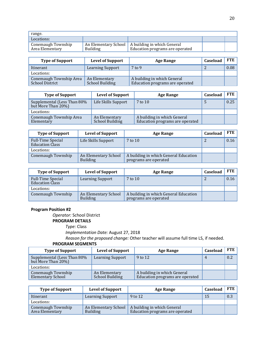| range.                                |                 |                                                                                       |  |
|---------------------------------------|-----------------|---------------------------------------------------------------------------------------|--|
| Locations:                            |                 |                                                                                       |  |
| Conemaugh Township<br>Area Elementary | <b>Building</b> | An Elementary School   A building in which General<br>Education programs are operated |  |

| <b>Type of Support</b>                            | <b>Level of Support</b>                 | <b>Age Range</b>                                               | Caseload | FTE  |
|---------------------------------------------------|-----------------------------------------|----------------------------------------------------------------|----------|------|
| Itinerant                                         | <b>Learning Support</b>                 | $7$ to 9                                                       |          | 0.08 |
| Locations:                                        |                                         |                                                                |          |      |
| Conemaugh Township Area<br><b>School District</b> | An Elementary<br><b>School Building</b> | A building in which General<br>Education programs are operated |          |      |

| <b>Type of Support</b>                            | <b>Level of Support</b>                 | <b>Age Range</b>                                               | Caseload | FTE  |
|---------------------------------------------------|-----------------------------------------|----------------------------------------------------------------|----------|------|
| Supplemental (Less Than 80%<br>but More Than 20%) | Life Skills Support                     | 7 to 10                                                        | 5        | 0.25 |
| Locations:                                        |                                         |                                                                |          |      |
| Conemaugh Township Area<br>Elementary             | An Elementary<br><b>School Building</b> | A building in which General<br>Education programs are operated |          |      |

| <b>Type of Support</b>                             | <b>Level of Support</b>                 | <b>Age Range</b>                                               | Caseload | FTE  |
|----------------------------------------------------|-----------------------------------------|----------------------------------------------------------------|----------|------|
| <b>Full-Time Special</b><br><b>Education Class</b> | Life Skills Support                     | 7 to 10                                                        |          | 0.16 |
| Locations:                                         |                                         |                                                                |          |      |
| Conemaugh Township                                 | An Elementary School<br><b>Building</b> | A building in which General Education<br>programs are operated |          |      |

| <b>Type of Support</b>                             | <b>Level of Support</b>                 | <b>Age Range</b>                                               | Caseload | FTE  |
|----------------------------------------------------|-----------------------------------------|----------------------------------------------------------------|----------|------|
| <b>Full-Time Special</b><br><b>Education Class</b> | <b>Learning Support</b>                 | 7 to 10                                                        |          | 0.16 |
| Locations:                                         |                                         |                                                                |          |      |
| Conemaugh Township                                 | An Elementary School<br><b>Building</b> | A building in which General Education<br>programs are operated |          |      |

*Operator:* School District

#### **PROGRAM DETAILS**

*Type:* Class

*Implementation Date:* August 27, 2018

*Reason for the proposed change:* Other teacher will assume full time LS, if needed.

| <b>Type of Support</b>                                | <b>Level of Support</b>                 | <b>Age Range</b>                                               | Caseload | <b>FTE</b> |
|-------------------------------------------------------|-----------------------------------------|----------------------------------------------------------------|----------|------------|
| Supplemental (Less Than 80%<br>but More Than 20%)     | <b>Learning Support</b>                 | 9 to 12                                                        |          | 0.2        |
| Locations:                                            |                                         |                                                                |          |            |
| <b>Conemaugh Township</b><br><b>Elementary School</b> | An Elementary<br><b>School Building</b> | A building in which General<br>Education programs are operated |          |            |

| <b>Type of Support</b>                | <b>Level of Support</b>                 | Age Range                                                      | Caseload | <b>FTE</b> |
|---------------------------------------|-----------------------------------------|----------------------------------------------------------------|----------|------------|
| Itinerant                             | <b>Learning Support</b>                 | 9 to 12                                                        | 15       | 0.3        |
| Locations:                            |                                         |                                                                |          |            |
| Conemaugh Township<br>Area Elementary | An Elementary School<br><b>Building</b> | A building in which General<br>Education programs are operated |          |            |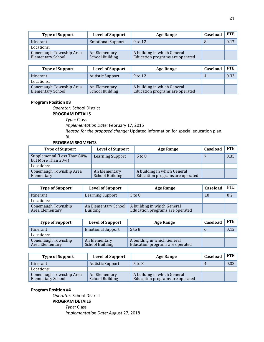| <b>Type of Support</b>                              | <b>Level of Support</b>                 | <b>Age Range</b>                                               | Caseload | FTE  |
|-----------------------------------------------------|-----------------------------------------|----------------------------------------------------------------|----------|------|
| Itinerant                                           | <b>Emotional Support</b>                | 9 to 12                                                        |          | 0.17 |
| Locations:                                          |                                         |                                                                |          |      |
| Conemaugh Township Area<br><b>Elementary School</b> | An Elementary<br><b>School Building</b> | A building in which General<br>Education programs are operated |          |      |

| <b>Type of Support</b>                              | <b>Level of Support</b>          | <b>Age Range</b>                                               | Caseload | <b>FTE</b> |
|-----------------------------------------------------|----------------------------------|----------------------------------------------------------------|----------|------------|
| Itinerant                                           | <b>Autistic Support</b>          | 9 to 12                                                        |          | 0.33       |
| Locations:                                          |                                  |                                                                |          |            |
| Conemaugh Township Area<br><b>Elementary School</b> | An Elementary<br>School Building | A building in which General<br>Education programs are operated |          |            |

*Operator:* School District

**PROGRAM DETAILS**

*Type:* Class

*Implementation Date:* February 17, 2015

*Reason for the proposed change:* Updated information for special education plan.

BL

#### **PROGRAM SEGMENTS**

| <b>Type of Support</b>                            | <b>Level of Support</b>                 | <b>Age Range</b>                                               | Caseload | <b>FTE</b> |
|---------------------------------------------------|-----------------------------------------|----------------------------------------------------------------|----------|------------|
| Supplemental (Less Than 80%<br>but More Than 20%) | <b>Learning Support</b>                 | $5$ to $8$                                                     |          | 0.35       |
| Locations:                                        |                                         |                                                                |          |            |
| Conemaugh Township Area<br>Elementary             | An Elementary<br><b>School Building</b> | A building in which General<br>Education programs are operated |          |            |

| <b>Type of Support</b>                | <b>Level of Support</b>                 | <b>Age Range</b>                                               | Caseload | <b>FTE</b> |
|---------------------------------------|-----------------------------------------|----------------------------------------------------------------|----------|------------|
| Itinerant                             | <b>Learning Support</b>                 | $5$ to $8$                                                     | 10       | 0.2        |
| Locations:                            |                                         |                                                                |          |            |
| Conemaugh Township<br>Area Elementary | An Elementary School<br><b>Building</b> | A building in which General<br>Education programs are operated |          |            |

| <b>Type of Support</b>                | <b>Level of Support</b>                 | Age Range                                                      | Caseload | <b>FTE</b> |
|---------------------------------------|-----------------------------------------|----------------------------------------------------------------|----------|------------|
| Itinerant                             | <b>Emotional Support</b>                | $5$ to $8$                                                     |          | 0.12       |
| Locations:                            |                                         |                                                                |          |            |
| Conemaugh Township<br>Area Elementary | An Elementary<br><b>School Building</b> | A building in which General<br>Education programs are operated |          |            |

| <b>Type of Support</b>                              | <b>Level of Support</b>                 | <b>Age Range</b>                                               | Caseload | FTE  |
|-----------------------------------------------------|-----------------------------------------|----------------------------------------------------------------|----------|------|
| Itinerant                                           | <b>Autistic Support</b>                 | $5$ to $8$                                                     | 4        | 0.33 |
| Locations:                                          |                                         |                                                                |          |      |
| Conemaugh Township Area<br><b>Elementary School</b> | An Elementary<br><b>School Building</b> | A building in which General<br>Education programs are operated |          |      |

#### **Program Position #4**

*Operator:* School District **PROGRAM DETAILS** *Type:* Class

*Implementation Date:* August 27, 2018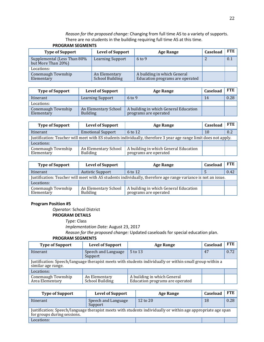*Reason for the proposed change:* Changing from full time AS to a variety of supports. There are no students in the building requiring full time AS at this time.

| <b>Type of Support</b>                            | <b>Level of Support</b>                 | <b>Age Range</b>                                               | Caseload | FTE |
|---------------------------------------------------|-----------------------------------------|----------------------------------------------------------------|----------|-----|
| Supplemental (Less Than 80%<br>but More Than 20%) | <b>Learning Support</b>                 | $6$ to 9                                                       |          | 0.1 |
| Locations:                                        |                                         |                                                                |          |     |
| Conemaugh Township<br>Elementary                  | An Elementary<br><b>School Building</b> | A building in which General<br>Education programs are operated |          |     |

#### **PROGRAM SEGMENTS**

| <b>Type of Support</b>           | <b>Level of Support</b>                 | Age Range                                                      | Caseload | FTE. |
|----------------------------------|-----------------------------------------|----------------------------------------------------------------|----------|------|
| Itinerant                        | <b>Learning Support</b>                 | $6 \text{ to } 9$                                              | 14       | 0.28 |
| Locations:                       |                                         |                                                                |          |      |
| Conemaugh Township<br>Elementary | An Elementary School<br><b>Building</b> | A building in which General Education<br>programs are operated |          |      |

| <b>Type of Support</b>                                                                                           | <b>Level of Support</b>          | <b>Age Range</b>                                               | Caseload | <b>FTE</b> |
|------------------------------------------------------------------------------------------------------------------|----------------------------------|----------------------------------------------------------------|----------|------------|
| Itinerant                                                                                                        | <b>Emotional Support</b>         | 6 to 12                                                        | 10       | 0.2        |
| Justification: Teacher will meet with ES students individually, therefore 3 year age range limit does not apply. |                                  |                                                                |          |            |
| Locations:                                                                                                       |                                  |                                                                |          |            |
| Conemaugh Township<br>Elementary                                                                                 | An Elementary School<br>Building | A building in which General Education<br>programs are operated |          |            |

| <b>Type of Support</b>                                                                                        | <b>Level of Support</b>                 | <b>Age Range</b>                                               | Caseload | FTE  |
|---------------------------------------------------------------------------------------------------------------|-----------------------------------------|----------------------------------------------------------------|----------|------|
| Itinerant                                                                                                     | <b>Autistic Support</b>                 | 6 to 12                                                        |          | 0.42 |
| Justification: Teacher will meet with AS students individually, therefore age range variance is not an issue. |                                         |                                                                |          |      |
| Locations:                                                                                                    |                                         |                                                                |          |      |
| Conemaugh Township<br>Elementary                                                                              | An Elementary School<br><b>Building</b> | A building in which General Education<br>programs are operated |          |      |

#### **Program Position #5**

*Operator:* School District

**PROGRAM DETAILS**

*Type:* Class

*Implementation Date:* August 23, 2017

*Reason for the proposed change:* Updated caseloads for special education plan.

| <b>Type of Support</b>                                                                                                         | <b>Level of Support</b>          | Age Range                                                      | Caseload | <b>FTE</b> |  |
|--------------------------------------------------------------------------------------------------------------------------------|----------------------------------|----------------------------------------------------------------|----------|------------|--|
| <b>Itinerant</b>                                                                                                               | Speech and Language<br>Support   | 5 to 13                                                        | 47       | 0.72       |  |
| Justification: Speech/language therapist meets with students individually or within small group within a<br>similar age range. |                                  |                                                                |          |            |  |
| Locations:                                                                                                                     |                                  |                                                                |          |            |  |
| Conemaugh Township<br>Area Elementary                                                                                          | An Elementary<br>School Building | A building in which General<br>Education programs are operated |          |            |  |

| <b>Type of Support</b>                                                                                                                      | <b>Level of Support</b>        | <b>Age Range</b> | Caseload | <b>FTE</b> |  |
|---------------------------------------------------------------------------------------------------------------------------------------------|--------------------------------|------------------|----------|------------|--|
| Itinerant                                                                                                                                   | Speech and Language<br>Support | 12 to 20         | 18       | 0.28       |  |
| Justification: Speech/language therapist meets with students individually or within age appropriate age span<br>for groups during sessions. |                                |                  |          |            |  |
| Locations:                                                                                                                                  |                                |                  |          |            |  |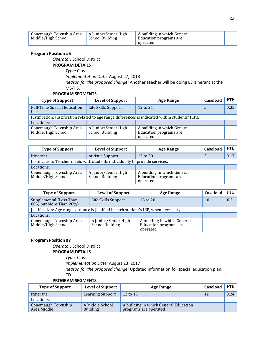| Conemaugh Township Area<br>Middle/High School | A Junior/Senior High<br><b>School Building</b> | A building in which General<br>Education programs are<br>operated |  |  |
|-----------------------------------------------|------------------------------------------------|-------------------------------------------------------------------|--|--|
|-----------------------------------------------|------------------------------------------------|-------------------------------------------------------------------|--|--|

*Operator:* School District

#### **PROGRAM DETAILS**

*Type:* Class

*Implementation Date:* August 27, 2018 *Reason for the proposed change:* Another teacher will be doing ES itinerant at the MS/HS.

#### **PROGRAM SEGMENTS**

| <b>Type of Support</b>                                                                            | <b>Level of Support</b>                 | <b>Age Range</b>                                                  | Caseload | FTE  |
|---------------------------------------------------------------------------------------------------|-----------------------------------------|-------------------------------------------------------------------|----------|------|
| Full-Time Special Education<br>Class                                                              | Life Skills Support                     | 12 to 21                                                          | 5        | 0.33 |
| Justification: Justification related to age range differences is indicated within students' IEPs. |                                         |                                                                   |          |      |
| Locations:                                                                                        |                                         |                                                                   |          |      |
| Conemaugh Township Area<br>Middle/High School                                                     | A Junior/Senior High<br>School Building | A building in which General<br>Education programs are<br>operated |          |      |

| <b>Type of Support</b>                                                       | <b>Level of Support</b>                 | <b>Age Range</b>                                                  | Caseload | <b>FTE</b> |
|------------------------------------------------------------------------------|-----------------------------------------|-------------------------------------------------------------------|----------|------------|
| Itinerant                                                                    | Autistic Support                        | 13 to 20                                                          |          | 0.17       |
| Justification: Teacher meets with students individually to provide services. |                                         |                                                                   |          |            |
| Locations:                                                                   |                                         |                                                                   |          |            |
| Conemaugh Township Area<br>Middle/High School                                | A Junior/Senior High<br>School Building | A building in which General<br>Education programs are<br>operated |          |            |

| <b>Type of Support</b>                                                                | <b>Level of Support</b>                 | Age Range                                                         | Caseload | <b>FTE</b> |
|---------------------------------------------------------------------------------------|-----------------------------------------|-------------------------------------------------------------------|----------|------------|
| Supplemental (Less Than<br>80% but More Than 20%)                                     | Life Skills Support                     | 13 to 20                                                          | 10       | 0.5        |
| Justification: Age range variance is justified in each student's IEP, when necessary. |                                         |                                                                   |          |            |
| Locations:                                                                            |                                         |                                                                   |          |            |
| Conemaugh Township Area<br>Middle/High School                                         | A Junior/Senior High<br>School Building | A building in which General<br>Education programs are<br>operated |          |            |

#### **Program Position #7**

*Operator:* School District

#### **PROGRAM DETAILS**

*Type:* Class

*Implementation Date:* August 23, 2017

*Reason for the proposed change:* Updated information for special education plan.

CD

| <b>Type of Support</b>            | <b>Level of Support</b>            | <b>Age Range</b>                                               | Caseload | <b>FTE</b> |
|-----------------------------------|------------------------------------|----------------------------------------------------------------|----------|------------|
| Itinerant                         | <b>Learning Support</b>            | 12 to 15                                                       | 12       | 0.24       |
| Locations:                        |                                    |                                                                |          |            |
| Conemaugh Township<br>Area Middle | A Middle School<br><b>Building</b> | A building in which General Education<br>programs are operated |          |            |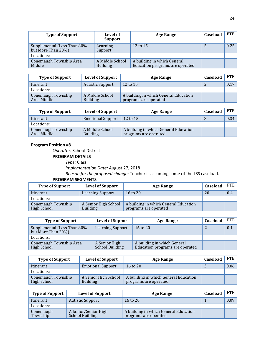| <b>Type of Support</b>                            | Level of<br><b>Support</b>         | <b>Age Range</b>                                               | Caseload | <b>FTE</b> |
|---------------------------------------------------|------------------------------------|----------------------------------------------------------------|----------|------------|
| Supplemental (Less Than 80%<br>but More Than 20%) | Learning<br>Support                | 12 to 15                                                       | 5        | 0.25       |
| Locations:                                        |                                    |                                                                |          |            |
| Conemaugh Township Area<br>Middle                 | A Middle School<br><b>Building</b> | A building in which General<br>Education programs are operated |          |            |

| <b>Type of Support</b>            | <b>Level of Support</b>            | <b>Age Range</b>                                               | Caseload | FTE  |
|-----------------------------------|------------------------------------|----------------------------------------------------------------|----------|------|
| Itinerant                         | <b>Autistic Support</b>            | 12 to 15                                                       |          | 0.17 |
| Locations:                        |                                    |                                                                |          |      |
| Conemaugh Township<br>Area Middle | A Middle School<br><b>Building</b> | A building in which General Education<br>programs are operated |          |      |

| <b>Type of Support</b>            | <b>Level of Support</b>            | <b>Age Range</b>                                               | Caseload | <b>FTE</b> |
|-----------------------------------|------------------------------------|----------------------------------------------------------------|----------|------------|
| Itinerant                         | <b>Emotional Support</b>           | 12 to 15                                                       |          | 0.34       |
| Locations:                        |                                    |                                                                |          |            |
| Conemaugh Township<br>Area Middle | A Middle School<br><b>Building</b> | A building in which General Education<br>programs are operated |          |            |

*Operator:* School District

**PROGRAM DETAILS**

*Type:* Class

*Implementation Date:* August 27, 2018

*Reason for the proposed change:* Teacher is assuming some of the LSS caseload.

| <b>Type of Support</b>            | <b>Level of Support</b>                 | <b>Age Range</b>                                               | Caseload | <b>FTE</b> |
|-----------------------------------|-----------------------------------------|----------------------------------------------------------------|----------|------------|
| Itinerant                         | <b>Learning Support</b>                 | 16 to 20                                                       | 20       | 0.4        |
| Locations:                        |                                         |                                                                |          |            |
| Conemaugh Township<br>High School | A Senior High School<br><b>Building</b> | A building in which General Education<br>programs are operated |          |            |

| <b>Type of Support</b>                            | <b>Level of Support</b>          | Age Range                                                      | Caseload | <b>FTE</b> |
|---------------------------------------------------|----------------------------------|----------------------------------------------------------------|----------|------------|
| Supplemental (Less Than 80%<br>but More Than 20%) | <b>Learning Support</b>          | 16 to 20                                                       |          | 0.1        |
| Locations:                                        |                                  |                                                                |          |            |
| Conemaugh Township Area<br>High School            | A Senior High<br>School Building | A building in which General<br>Education programs are operated |          |            |

| <b>Type of Support</b>            | <b>Level of Support</b>                 | <b>Age Range</b>                                               | Caseload | <b>FTE</b> |
|-----------------------------------|-----------------------------------------|----------------------------------------------------------------|----------|------------|
| Itinerant                         | <b>Emotional Support</b>                | 16 to 20                                                       |          | 0.06       |
| Locations:                        |                                         |                                                                |          |            |
| Conemaugh Township<br>High School | A Senior High School<br><b>Building</b> | A building in which General Education<br>programs are operated |          |            |

| <b>Type of Support</b> | <b>Level of Support</b>                        | <b>Age Range</b>                                               | Caseload | <b>FTE</b> |
|------------------------|------------------------------------------------|----------------------------------------------------------------|----------|------------|
| Itinerant              | <b>Autistic Support</b>                        | $16$ to $20$                                                   |          | 0.09       |
| Locations:             |                                                |                                                                |          |            |
| Conemaugh<br>Township  | A Junior/Senior High<br><b>School Building</b> | A building in which General Education<br>programs are operated |          |            |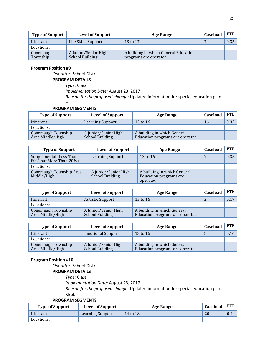| <b>Type of Support</b> | <b>Level of Support</b>                        | Age Range                                                      | Caseload | FTE  |
|------------------------|------------------------------------------------|----------------------------------------------------------------|----------|------|
| Itinerant              | Life Skills Support                            | 13 to 17                                                       |          | 0.35 |
| Locations:             |                                                |                                                                |          |      |
| Conemaugh<br>Township  | A Junior/Senior High<br><b>School Building</b> | A building in which General Education<br>programs are operated |          |      |

*Operator:* School District

#### **PROGRAM DETAILS**

*Type:* Class

*Implementation Date:* August 23, 2017

*Reason for the proposed change:* Updated information for special education plan.

HL

#### **PROGRAM SEGMENTS**

| <b>Type of Support</b>                 | <b>Level of Support</b>                        | <b>Age Range</b>                                               | Caseload | FTE. |
|----------------------------------------|------------------------------------------------|----------------------------------------------------------------|----------|------|
| Itinerant                              | <b>Learning Support</b>                        | 13 to 16                                                       | 16       | 0.32 |
| Locations:                             |                                                |                                                                |          |      |
| Conemaugh Township<br>Area Middle/High | A Junior/Senior High<br><b>School Building</b> | A building in which General<br>Education programs are operated |          |      |

| <b>Type of Support</b>                               | <b>Level of Support</b>                 | Age Range                                                         | Caseload | <b>FTE</b> |
|------------------------------------------------------|-----------------------------------------|-------------------------------------------------------------------|----------|------------|
| Supplemental (Less Than<br>$80\%$ but More Than 20%) | Learning Support                        | 13 to 16                                                          |          | 0.35       |
| Locations:                                           |                                         |                                                                   |          |            |
| Conemaugh Township Area<br>Middle/High               | A Junior/Senior High<br>School Building | A building in which General<br>Education programs are<br>operated |          |            |

| <b>Type of Support</b>                 | <b>Level of Support</b>                 | Age Range                                                      | Caseload | <b>FTE</b> |
|----------------------------------------|-----------------------------------------|----------------------------------------------------------------|----------|------------|
| Itinerant                              | <b>Autistic Support</b>                 | 13 to 16                                                       |          | 0.17       |
| Locations:                             |                                         |                                                                |          |            |
| Conemaugh Township<br>Area Middle/High | A Junior/Senior High<br>School Building | A building in which General<br>Education programs are operated |          |            |

| <b>Type of Support</b>                 | <b>Level of Support</b>                 | <b>Age Range</b>                                               | Caseload | FTE  |
|----------------------------------------|-----------------------------------------|----------------------------------------------------------------|----------|------|
| Itinerant                              | <b>Emotional Support</b>                | 13 to 16                                                       |          | 0.16 |
| Locations:                             |                                         |                                                                |          |      |
| Conemaugh Township<br>Area Middle/High | A Junior/Senior High<br>School Building | A building in which General<br>Education programs are operated |          |      |

#### **Program Position #10**

*Operator:* School District

## **PROGRAM DETAILS**

*Type:* Class

*Implementation Date:* August 23, 2017

*Reason for the proposed change:* Updated information for special education plan. KBeb

| <b>Type of Support</b> | <b>Level of Support</b> | Age Range | Caseload | <b>FTE</b> |
|------------------------|-------------------------|-----------|----------|------------|
| Itinerant              | Learning Support        | 14 to 18  | 20       | 0.4        |
| Locations:             |                         |           |          |            |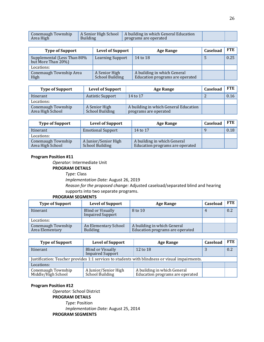| Conemaugh Township<br>Area High | <b>Building</b> | A Senior High School   A building in which General Education<br>programs are operated |  |  |
|---------------------------------|-----------------|---------------------------------------------------------------------------------------|--|--|
|---------------------------------|-----------------|---------------------------------------------------------------------------------------|--|--|

| <b>Type of Support</b>                            | <b>Level of Support</b>                 | <b>Age Range</b>                                               | Caseload | FTE  |
|---------------------------------------------------|-----------------------------------------|----------------------------------------------------------------|----------|------|
| Supplemental (Less Than 80%<br>but More Than 20%) | <b>Learning Support</b>                 | 14 to 18                                                       | C.       | 0.25 |
| Locations:                                        |                                         |                                                                |          |      |
| Conemaugh Township Area<br>High                   | A Senior High<br><b>School Building</b> | A building in which General<br>Education programs are operated |          |      |

| <b>Type of Support</b>                 | <b>Level of Support</b>                 | Age Range                                                      | Caseload | FTE  |
|----------------------------------------|-----------------------------------------|----------------------------------------------------------------|----------|------|
| Itinerant                              | <b>Autistic Support</b>                 | 14 to 17                                                       |          | 0.16 |
| Locations:                             |                                         |                                                                |          |      |
| Conemaugh Township<br>Area High School | A Senior High<br><b>School Building</b> | A building in which General Education<br>programs are operated |          |      |

| <b>Type of Support</b>                 | <b>Level of Support</b>                        | Age Range                                                      | Caseload | <b>FTE</b> |
|----------------------------------------|------------------------------------------------|----------------------------------------------------------------|----------|------------|
| Itinerant                              | <b>Emotional Support</b>                       | 14 to 17                                                       |          | 0.18       |
| Locations:                             |                                                |                                                                |          |            |
| Conemaugh Township<br>Area High School | A Junior/Senior High<br><b>School Building</b> | A building in which General<br>Education programs are operated |          |            |

*Operator:* Intermediate Unit **PROGRAM DETAILS**

*Type:* Class

*Implementation Date:* August 26, 2019

*Reason for the proposed change:* Adjusted caseload/separated blind and hearing supports into two separate programs.

#### **PROGRAM SEGMENTS**

| <b>Type of Support</b>                | <b>Level of Support</b>                             | <b>Age Range</b>                                               | Caseload | <b>FTE</b> |
|---------------------------------------|-----------------------------------------------------|----------------------------------------------------------------|----------|------------|
| Itinerant                             | <b>Blind or Visually</b><br><b>Impaired Support</b> | 8 to 10                                                        | 4        | 0.2        |
| Locations:                            |                                                     |                                                                |          |            |
| Conemaugh Township<br>Area Elementary | An Elementary School<br><b>Building</b>             | A building in which General<br>Education programs are operated |          |            |

| <b>Type of Support</b>                                                                         | <b>Level of Support</b>                             | <b>Age Range</b>                                               | Caseload | <b>FTE</b> |
|------------------------------------------------------------------------------------------------|-----------------------------------------------------|----------------------------------------------------------------|----------|------------|
| Itinerant                                                                                      | <b>Blind or Visually</b><br><b>Impaired Support</b> | 12 to 18                                                       |          | 0.2        |
| Justification: Teacher provides 1:1 services to students with blindness or visual impairments. |                                                     |                                                                |          |            |
| Locations:                                                                                     |                                                     |                                                                |          |            |
| Conemaugh Township<br>Middle/High School                                                       | A Junior/Senior High<br>School Building             | A building in which General<br>Education programs are operated |          |            |

#### **Program Position #12**

*Operator:* School District **PROGRAM DETAILS**

*Type:* Position

*Implementation Date:* August 25, 2014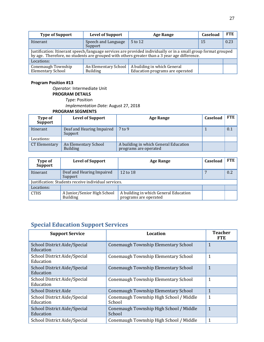| <b>Type of Support</b>                                                                                                                                                                                         | <b>Level of Support</b>                 | Age Range                                                      | Caseload | FTE  |
|----------------------------------------------------------------------------------------------------------------------------------------------------------------------------------------------------------------|-----------------------------------------|----------------------------------------------------------------|----------|------|
| Itinerant                                                                                                                                                                                                      | Speech and Language<br>Support          | $5$ to 12                                                      | 15       | 0.23 |
| Justification: Itinerant speech/language services are provided individually or in a small group format grouped<br>by age. Therefore, no students are grouped with others greater than a 3 year age difference. |                                         |                                                                |          |      |
| Locations:                                                                                                                                                                                                     |                                         |                                                                |          |      |
| Conemaugh Township<br><b>Elementary School</b>                                                                                                                                                                 | An Elementary School<br><b>Building</b> | A building in which General<br>Education programs are operated |          |      |

*Operator:* Intermediate Unit **PROGRAM DETAILS** *Type:* Position *Implementation Date:* August 27, 2018 **PROGRAM SEGMENTS**

**Type of Support Level of Support Age Range Caseload FTE** Itinerant Deaf and Hearing Impaired Support  $7$  to 9  $1$  0.1 Locations:<br>CT Elementary CT Elementary An Elementary School Building A building in which General Education programs are operated

| Type of<br><b>Support</b>                            | <b>Level of Support</b>                        | <b>Age Range</b>                                               | Caseload | <b>FTE</b> |
|------------------------------------------------------|------------------------------------------------|----------------------------------------------------------------|----------|------------|
| Itinerant                                            | Deaf and Hearing Impaired<br>Support           | 12 to 18                                                       |          | 0.2        |
| Justification: Students receive individual services. |                                                |                                                                |          |            |
| Locations:                                           |                                                |                                                                |          |            |
| <b>CTHS</b>                                          | A Junior/Senior High School<br><b>Building</b> | A building in which General Education<br>programs are operated |          |            |

## **Special Education Support Services**

| <b>Support Service</b>                    | Location                                          | <b>Teacher</b><br><b>FTE</b> |
|-------------------------------------------|---------------------------------------------------|------------------------------|
| School District Aide/Special<br>Education | Conemaugh Township Elementary School              | $\mathbf{1}$                 |
| School District Aide/Special<br>Education | Conemaugh Township Elementary School              | 1                            |
| School District Aide/Special<br>Education | Conemaugh Township Elementary School              | $\mathbf{1}$                 |
| School District Aide/Special<br>Education | Conemaugh Township Elementary School              | 1                            |
| <b>School District Aide</b>               | Conemaugh Township Elementary School              | $\mathbf{1}$                 |
| School District Aide/Special<br>Education | Conemaugh Township High School / Middle<br>School | 1                            |
| School District Aide/Special<br>Education | Conemaugh Township High School / Middle<br>School | $\mathbf{1}$                 |
| School District Aide/Special              | Conemaugh Township High School / Middle           | $\mathbf{1}$                 |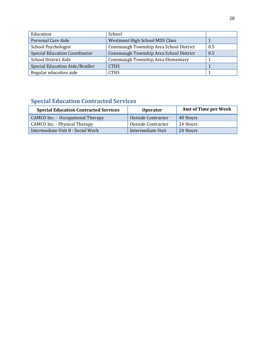| Education                            | School                                  |     |
|--------------------------------------|-----------------------------------------|-----|
| Personal Care Aide                   | <b>Westmont High School MDS Class</b>   |     |
| School Psychologist                  | Conemaugh Township Area School District | 0.5 |
| <b>Special Education Coordinator</b> | Conemaugh Township Area School District | 0.5 |
| <b>School District Aide</b>          | Conemaugh Township Area Elementary      |     |
| Special Education Aide/Brailler      | <b>CTHS</b>                             |     |
| Regular education aide               | <b>CTHS</b>                             |     |

## **Special Education Contracted Services**

| <b>Special Education Contracted Services</b> | <b>Operator</b>           | <b>Amt of Time per Week</b> |
|----------------------------------------------|---------------------------|-----------------------------|
| <b>CAMCO Inc. - Occupational Therapy</b>     | <b>Outside Contractor</b> | 40 Hours                    |
| CAMCO Inc. - Physical Therapy                | Outside Contractor        | 24 Hours                    |
| Intermediate Unit 8 - Social Work            | Intermediate Unit         | 24 Hours                    |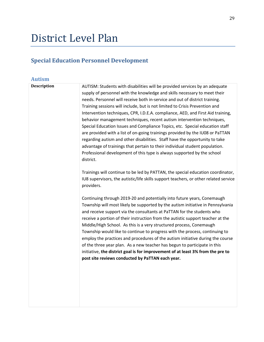## District Level Plan

## **Special Education Personnel Development**

## **Autism Description** AUTISM: Students with disabilities will be provided services by an adequate supply of personnel with the knowledge and skills necessary to meet their needs. Personnel will receive both in-service and out of district training. Training sessions will include, but is not limited to Crisis Prevention and Intervention techniques, CPR, I.D.E.A. compliance, AED, and First Aid training, behavior management techniques, recent autism intervention techniques, Special Education Issues and Compliance Topics, etc. Special education staff are provided with a list of on-going trainings provided by the IU08 or PaTTAN regarding autism and other disabilities. Staff have the opportunity to take advantage of trainings that pertain to their individual student population. Professional development of this type is always supported by the school district. Trainings will continue to be led by PATTAN, the special education coordinator, IU8 supervisors, the autistic/life skills support teachers, or other related service providers. Continuing through 2019-20 and potentially into future years, Conemaugh Township will most likely be supported by the autism initiative in Pennsylvania and receive support via the consultants at PaTTAN for the students who receive a portion of their instruction from the autistic support teacher at the Middle/High School. As this is a very structured process, Conemaugh Township would like to continue to progress with the process, continuing to employ the practices and procedures of the autism initiative during the course of the three year plan. As a new teacher has begun to participate in this initiative, **the district goal is for improvement of at least 3% from the pre to post site reviews conducted by PaTTAN each year.**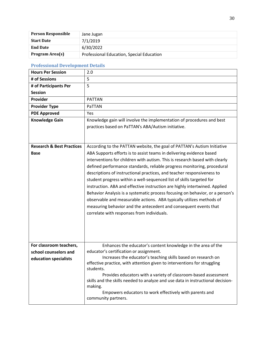| <b>Person Responsible</b> | Jane Jugan                                |
|---------------------------|-------------------------------------------|
| <b>Start Date</b>         | 7/1/2019                                  |
| <b>End Date</b>           | 6/30/2022                                 |
| Program Area(s)           | Professional Education, Special Education |

#### **Professional Development Details**

| <b>Hours Per Session</b>             | 2.0                                                                                                     |
|--------------------------------------|---------------------------------------------------------------------------------------------------------|
| # of Sessions                        | 5                                                                                                       |
| # of Participants Per                | 5                                                                                                       |
| <b>Session</b>                       |                                                                                                         |
| Provider                             | <b>PATTAN</b>                                                                                           |
| <b>Provider Type</b>                 | PaTTAN                                                                                                  |
| <b>PDE Approved</b>                  | Yes                                                                                                     |
| <b>Knowledge Gain</b>                | Knowledge gain will involve the implementation of procedures and best                                   |
|                                      | practices based on PaTTAN's ABA/Autism initiative.                                                      |
|                                      |                                                                                                         |
|                                      |                                                                                                         |
| <b>Research &amp; Best Practices</b> | According to the PATTAN website, the goal of PATTAN's Autism Initiative                                 |
| <b>Base</b>                          | ABA Supports efforts is to assist teams in delivering evidence based                                    |
|                                      | interventions for children with autism. This is research based with clearly                             |
|                                      | defined performance standards, reliable progress monitoring, procedural                                 |
|                                      | descriptions of instructional practices, and teacher responsiveness to                                  |
|                                      | student progress within a well-sequenced list of skills targeted for                                    |
|                                      | instruction. ABA and effective instruction are highly intertwined. Applied                              |
|                                      | Behavior Analysis is a systematic process focusing on behavior, or a person's                           |
|                                      | observable and measurable actions. ABA typically utilizes methods of                                    |
|                                      | measuring behavior and the antecedent and consequent events that                                        |
|                                      | correlate with responses from individuals.                                                              |
|                                      |                                                                                                         |
|                                      |                                                                                                         |
|                                      |                                                                                                         |
|                                      |                                                                                                         |
| For classroom teachers,              | Enhances the educator's content knowledge in the area of the<br>educator's certification or assignment. |
| school counselors and                | Increases the educator's teaching skills based on research on                                           |
| education specialists                | effective practice, with attention given to interventions for struggling                                |
|                                      | students.                                                                                               |
|                                      | Provides educators with a variety of classroom-based assessment                                         |
|                                      | skills and the skills needed to analyze and use data in instructional decision-                         |
|                                      | making.                                                                                                 |
|                                      | Empowers educators to work effectively with parents and                                                 |
|                                      | community partners.                                                                                     |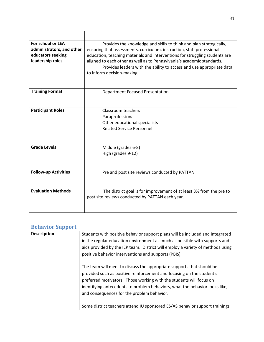| For school or LEA<br>administrators, and other<br>educators seeking<br>leadership roles | Provides the knowledge and skills to think and plan strategically,<br>ensuring that assessments, curriculum, instruction, staff professional<br>education, teaching materials and interventions for struggling students are<br>aligned to each other as well as to Pennsylvania's academic standards.<br>Provides leaders with the ability to access and use appropriate data<br>to inform decision-making. |
|-----------------------------------------------------------------------------------------|-------------------------------------------------------------------------------------------------------------------------------------------------------------------------------------------------------------------------------------------------------------------------------------------------------------------------------------------------------------------------------------------------------------|
| <b>Training Format</b>                                                                  | <b>Department Focused Presentation</b>                                                                                                                                                                                                                                                                                                                                                                      |
| <b>Participant Roles</b>                                                                | Classroom teachers<br>Paraprofessional<br>Other educational specialists<br><b>Related Service Personnel</b>                                                                                                                                                                                                                                                                                                 |
| <b>Grade Levels</b>                                                                     | Middle (grades 6-8)<br>High (grades 9-12)                                                                                                                                                                                                                                                                                                                                                                   |
| <b>Follow-up Activities</b>                                                             | Pre and post site reviews conducted by PATTAN                                                                                                                                                                                                                                                                                                                                                               |
| <b>Evaluation Methods</b>                                                               | The district goal is for improvement of at least 3% from the pre to<br>post site reviews conducted by PATTAN each year.                                                                                                                                                                                                                                                                                     |

#### **Behavior Support**

| <b>Description</b> | Students with positive behavior support plans will be included and integrated<br>in the regular education environment as much as possible with supports and<br>aids provided by the IEP team. District will employ a variety of methods using<br>positive behavior interventions and supports (PBIS).                                              |
|--------------------|----------------------------------------------------------------------------------------------------------------------------------------------------------------------------------------------------------------------------------------------------------------------------------------------------------------------------------------------------|
|                    | The team will meet to discuss the appropriate supports that should be<br>provided such as positive reinforcement and focusing on the student's<br>preferred motivators. Those working with the students will focus on<br>identifying antecedents to problem behaviors, what the behavior looks like,<br>and consequences for the problem behavior. |
|                    | Some district teachers attend IU sponsored ES/AS behavior support trainings                                                                                                                                                                                                                                                                        |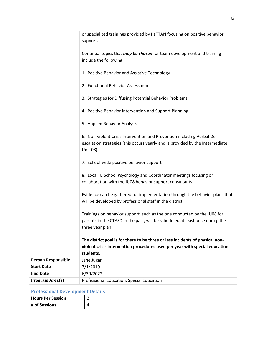|                           | or specialized trainings provided by PaTTAN focusing on positive behavior                                                                                                    |
|---------------------------|------------------------------------------------------------------------------------------------------------------------------------------------------------------------------|
|                           | support.                                                                                                                                                                     |
|                           | Continual topics that <i>may be chosen</i> for team development and training<br>include the following:                                                                       |
|                           | 1. Positive Behavior and Assistive Technology                                                                                                                                |
|                           | 2. Functional Behavior Assessment                                                                                                                                            |
|                           | 3. Strategies for Diffusing Potential Behavior Problems                                                                                                                      |
|                           | 4. Positive Behavior Intervention and Support Planning                                                                                                                       |
|                           | 5. Applied Behavior Analysis                                                                                                                                                 |
|                           | 6. Non-violent Crisis Intervention and Prevention including Verbal De-<br>escalation strategies (this occurs yearly and is provided by the Intermediate<br>Unit 08)          |
|                           | 7. School-wide positive behavior support                                                                                                                                     |
|                           | 8. Local IU School Psychology and Coordinator meetings focusing on<br>collaboration with the IU08 behavior support consultants                                               |
|                           | Evidence can be gathered for implementation through the behavior plans that<br>will be developed by professional staff in the district.                                      |
|                           | Trainings on behavior support, such as the one conducted by the IU08 for<br>parents in the CTASD in the past, will be scheduled at least once during the<br>three year plan. |
|                           | The district goal is for there to be three or less incidents of physical non-<br>violent crisis intervention procedures used per year with special education<br>students.    |
| <b>Person Responsible</b> | Jane Jugan                                                                                                                                                                   |
| <b>Start Date</b>         | 7/1/2019                                                                                                                                                                     |
| <b>End Date</b>           | 6/30/2022                                                                                                                                                                    |
| Program Area(s)           | Professional Education, Special Education                                                                                                                                    |

#### **Professional Development Details**

| Hours Per Session |  |
|-------------------|--|
| # of Sessions     |  |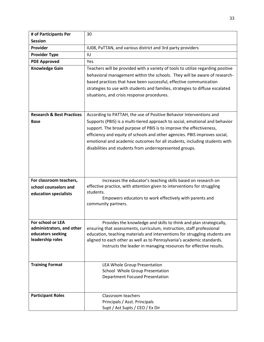| # of Participants Per                          | 30                                                                                                                                           |
|------------------------------------------------|----------------------------------------------------------------------------------------------------------------------------------------------|
| <b>Session</b>                                 |                                                                                                                                              |
| Provider                                       | IU08, PaTTAN, and various district and 3rd party providers                                                                                   |
| <b>Provider Type</b>                           | IU                                                                                                                                           |
| <b>PDE Approved</b>                            | Yes                                                                                                                                          |
| <b>Knowledge Gain</b>                          | Teachers will be provided with a variety of tools to utilize regarding positive                                                              |
|                                                | behavioral management within the schools. They will be aware of research-                                                                    |
|                                                | based practices that have been successful, effective communication                                                                           |
|                                                | strategies to use with students and families, strategies to diffuse escalated                                                                |
|                                                | situations, and crisis response procedures.                                                                                                  |
|                                                |                                                                                                                                              |
|                                                |                                                                                                                                              |
| <b>Research &amp; Best Practices</b>           | According to PATTAH, the use of Positive Behavior Interventions and                                                                          |
| <b>Base</b>                                    | Supports (PBIS) is a multi-tiered approach to social, emotional and behavior                                                                 |
|                                                | support. The broad purpose of PBIS is to improve the effectiveness,                                                                          |
|                                                | efficiency and equity of schools and other agencies. PBIS improves social,                                                                   |
|                                                | emotional and academic outcomes for all students, including students with                                                                    |
|                                                | disabilities and students from underrepresented groups.                                                                                      |
|                                                |                                                                                                                                              |
|                                                |                                                                                                                                              |
|                                                |                                                                                                                                              |
| For classroom teachers,                        | Increases the educator's teaching skills based on research on                                                                                |
| school counselors and                          | effective practice, with attention given to interventions for struggling                                                                     |
| education specialists                          | students.                                                                                                                                    |
|                                                | Empowers educators to work effectively with parents and                                                                                      |
|                                                | community partners.                                                                                                                          |
|                                                |                                                                                                                                              |
|                                                |                                                                                                                                              |
| For school or LEA<br>administrators, and other | Provides the knowledge and skills to think and plan strategically,<br>ensuring that assessments, curriculum, instruction, staff professional |
| educators seeking                              | education, teaching materials and interventions for struggling students are                                                                  |
| leadership roles                               | aligned to each other as well as to Pennsylvania's academic standards.                                                                       |
|                                                | Instructs the leader in managing resources for effective results.                                                                            |
|                                                |                                                                                                                                              |
|                                                |                                                                                                                                              |
| <b>Training Format</b>                         | LEA Whole Group Presentation                                                                                                                 |
|                                                | School Whole Group Presentation                                                                                                              |
|                                                | <b>Department Focused Presentation</b>                                                                                                       |
|                                                |                                                                                                                                              |
| <b>Participant Roles</b>                       | Classroom teachers                                                                                                                           |
|                                                | Principals / Asst. Principals                                                                                                                |
|                                                | Supt / Ast Supts / CEO / Ex Dir                                                                                                              |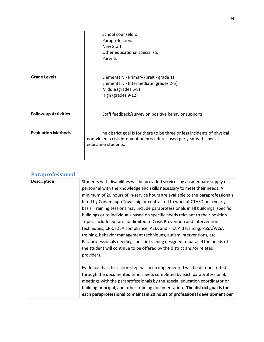|                             | School counselors<br>Paraprofessional<br>New Staff<br>Other educational specialists<br>Parents                                                                          |
|-----------------------------|-------------------------------------------------------------------------------------------------------------------------------------------------------------------------|
| <b>Grade Levels</b>         | Elementary - Primary (preK - grade 1)<br>Elementary - Intermediate (grades 2-5)<br>Middle (grades 6-8)<br>High (grades 9-12)                                            |
| <b>Follow-up Activities</b> | Staff feedback/survey on positive behavior supports                                                                                                                     |
| <b>Evaluation Methods</b>   | he district goal is for there to be three or less incidents of physical<br>non-violent crisis intervention procedures used per year with special<br>education students. |

## **Paraprofessional**

| Students with disabilities will be provided services by an adequate supply of<br>personnel with the knowledge and skills necessary to meet their needs. A<br>minimum of 20 hours of in-service hours are available to the paraprofessionals<br>hired by Conemaugh Township or contracted to work at CTASD on a yearly<br>basis. Training sessions may include paraprofessionals in all buildings, specific<br>buildings or to individuals based on specific needs relevant to their position.<br>Topics include but are not limited to Crisis Prevention and Intervention<br>techniques, CPR, IDEA compliance, AED, and First Aid training, PSSA/PASA<br>training, behavior management techniques, autism interventions, etc.<br>Paraprofessionals needing specific training designed to parallel the needs of<br>the student will continue to be offered by the district and/or related<br>providers. |
|--------------------------------------------------------------------------------------------------------------------------------------------------------------------------------------------------------------------------------------------------------------------------------------------------------------------------------------------------------------------------------------------------------------------------------------------------------------------------------------------------------------------------------------------------------------------------------------------------------------------------------------------------------------------------------------------------------------------------------------------------------------------------------------------------------------------------------------------------------------------------------------------------------|
| Evidence that this action step has been implemented will be demonstrated<br>through the documented time sheets completed by each paraprofessional,<br>meetings with the paraprofessionals by the special education coordinator or<br>building principal, and other training documentation. The district goal is for<br>each paraprofessional to maintain 20 hours of professional development per                                                                                                                                                                                                                                                                                                                                                                                                                                                                                                      |
|                                                                                                                                                                                                                                                                                                                                                                                                                                                                                                                                                                                                                                                                                                                                                                                                                                                                                                        |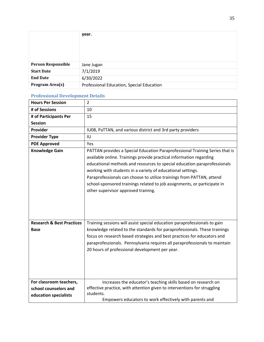|                           | year.                                     |
|---------------------------|-------------------------------------------|
|                           |                                           |
| <b>Person Responsible</b> | Jane Jugan                                |
| <b>Start Date</b>         | 7/1/2019                                  |
| <b>End Date</b>           | 6/30/2022                                 |
| Program Area(s)           | Professional Education, Special Education |

#### **Professional Development Details**

| <b>Hours Per Session</b>                            | $\overline{2}$                                                                                                                                                                                                                                                                                                                                                                                                                                                                             |
|-----------------------------------------------------|--------------------------------------------------------------------------------------------------------------------------------------------------------------------------------------------------------------------------------------------------------------------------------------------------------------------------------------------------------------------------------------------------------------------------------------------------------------------------------------------|
| # of Sessions                                       | 10                                                                                                                                                                                                                                                                                                                                                                                                                                                                                         |
| # of Participants Per                               | 15                                                                                                                                                                                                                                                                                                                                                                                                                                                                                         |
| <b>Session</b>                                      |                                                                                                                                                                                                                                                                                                                                                                                                                                                                                            |
| <b>Provider</b>                                     | IU08, PaTTAN, and various district and 3rd party providers                                                                                                                                                                                                                                                                                                                                                                                                                                 |
| <b>Provider Type</b>                                | IU                                                                                                                                                                                                                                                                                                                                                                                                                                                                                         |
| <b>PDE Approved</b>                                 | Yes                                                                                                                                                                                                                                                                                                                                                                                                                                                                                        |
| <b>Knowledge Gain</b>                               | PATTAN provides a Special Education Paraprofessional Training Series that is<br>available online. Trainings provide practical information regarding<br>educational methods and resources to special education paraprofessionals<br>working with students in a variety of educational settings.<br>Paraprofessionals can choose to utilize trainings from PATTAN, attend<br>school-sponsored trainings related to job assignments, or participate in<br>other supervisor approved training. |
| <b>Research &amp; Best Practices</b><br><b>Base</b> | Training sessions will assist special education paraprofessionals to gain<br>knowledge related to the standards for paraprofessionals. These trainings<br>focus on research based strategies and best practices for educators and<br>paraprofessionals. Pennsylvania requires all paraprofessionals to maintain<br>20 hours of professional development per year.                                                                                                                          |
|                                                     |                                                                                                                                                                                                                                                                                                                                                                                                                                                                                            |
| For classroom teachers,                             | Increases the educator's teaching skills based on research on                                                                                                                                                                                                                                                                                                                                                                                                                              |
| school counselors and                               | effective practice, with attention given to interventions for struggling<br>students.                                                                                                                                                                                                                                                                                                                                                                                                      |
| education specialists                               | Empowers educators to work effectively with parents and                                                                                                                                                                                                                                                                                                                                                                                                                                    |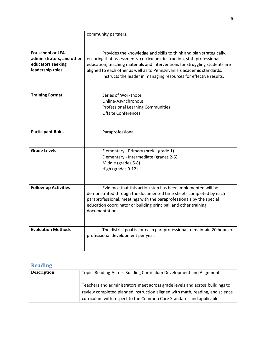|                                                | community partners.                                                                                                                                   |
|------------------------------------------------|-------------------------------------------------------------------------------------------------------------------------------------------------------|
|                                                |                                                                                                                                                       |
| For school or LEA                              | Provides the knowledge and skills to think and plan strategically,                                                                                    |
| administrators, and other<br>educators seeking | ensuring that assessments, curriculum, instruction, staff professional<br>education, teaching materials and interventions for struggling students are |
| leadership roles                               | aligned to each other as well as to Pennsylvania's academic standards.                                                                                |
|                                                | Instructs the leader in managing resources for effective results.                                                                                     |
|                                                |                                                                                                                                                       |
|                                                |                                                                                                                                                       |
| <b>Training Format</b>                         | Series of Workshops                                                                                                                                   |
|                                                | Online-Asynchronous                                                                                                                                   |
|                                                | <b>Professional Learning Communities</b>                                                                                                              |
|                                                | <b>Offsite Conferences</b>                                                                                                                            |
|                                                |                                                                                                                                                       |
|                                                |                                                                                                                                                       |
| <b>Participant Roles</b>                       | Paraprofessional                                                                                                                                      |
|                                                |                                                                                                                                                       |
| <b>Grade Levels</b>                            | Elementary - Primary (preK - grade 1)                                                                                                                 |
|                                                | Elementary - Intermediate (grades 2-5)                                                                                                                |
|                                                | Middle (grades 6-8)                                                                                                                                   |
|                                                | High (grades 9-12)                                                                                                                                    |
|                                                |                                                                                                                                                       |
|                                                |                                                                                                                                                       |
| <b>Follow-up Activities</b>                    | Evidence that this action step has been implemented will be                                                                                           |
|                                                | demonstrated through the documented time sheets completed by each                                                                                     |
|                                                | paraprofessional, meetings with the paraprofessionals by the special                                                                                  |
|                                                | education coordinator or building principal, and other training                                                                                       |
|                                                | documentation.                                                                                                                                        |
|                                                |                                                                                                                                                       |
| <b>Evaluation Methods</b>                      | The district goal is for each paraprofessional to maintain 20 hours of                                                                                |
|                                                | professional development per year.                                                                                                                    |
|                                                |                                                                                                                                                       |
|                                                |                                                                                                                                                       |

## **Reading**

| <b>Description</b> | Topic: Reading-Across Building Curriculum Development and Alignment                                                                                                                                                                 |
|--------------------|-------------------------------------------------------------------------------------------------------------------------------------------------------------------------------------------------------------------------------------|
|                    | Teachers and administrators meet across grade levels and across buildings to<br>review completed planned instruction aligned with math, reading, and science<br>curriculum with respect to the Common Core Standards and applicable |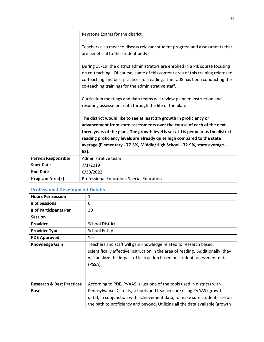|                           | Keystone Exams for the district.                                                                                                                                                                                                                                                                                                                                                                |
|---------------------------|-------------------------------------------------------------------------------------------------------------------------------------------------------------------------------------------------------------------------------------------------------------------------------------------------------------------------------------------------------------------------------------------------|
|                           | Teachers also meet to discuss relevant student progress and assessments that<br>are beneficial to the student body.                                                                                                                                                                                                                                                                             |
|                           | During 18/19, the district administrators are enrolled in a PIL course focusing<br>on co-teaching. Of course, some of this content area of this training relates to<br>co-teaching and best practices for reading. The IU08 has been conducting the<br>co-teaching trainings for the administrative staff.                                                                                      |
|                           | Curriculum meetings and data teams will review planned instruction and<br>resulting assessment data through the life of the plan.                                                                                                                                                                                                                                                               |
|                           | The district would like to see at least 1% growth in proficiency or<br>advancement from state assessments over the course of each of the next<br>three years of the plan. The growth level is set at 1% per year as the district<br>reading proficiency levels are already quite high compared to the state<br>average (Elementary - 77.5%, Middle/High School - 72.9%, state average -<br>63). |
| <b>Person Responsible</b> | Administrative team                                                                                                                                                                                                                                                                                                                                                                             |
| <b>Start Date</b>         | 7/1/2019                                                                                                                                                                                                                                                                                                                                                                                        |
| <b>End Date</b>           | 6/30/2022                                                                                                                                                                                                                                                                                                                                                                                       |
| Program Area(s)           | Professional Education, Special Education                                                                                                                                                                                                                                                                                                                                                       |

#### **Professional Development Details**

| <b>Hours Per Session</b>                            | 1                                                                                                                                                                                                                                                                                                             |
|-----------------------------------------------------|---------------------------------------------------------------------------------------------------------------------------------------------------------------------------------------------------------------------------------------------------------------------------------------------------------------|
| # of Sessions                                       | 6                                                                                                                                                                                                                                                                                                             |
| # of Participants Per                               | 30                                                                                                                                                                                                                                                                                                            |
| <b>Session</b>                                      |                                                                                                                                                                                                                                                                                                               |
| <b>Provider</b>                                     | <b>School District</b>                                                                                                                                                                                                                                                                                        |
| <b>Provider Type</b>                                | <b>School Entity</b>                                                                                                                                                                                                                                                                                          |
| <b>PDE Approved</b>                                 | Yes                                                                                                                                                                                                                                                                                                           |
| <b>Knowledge Gain</b>                               | Teachers and staff will gain knowledge related to research based,<br>scientifically effective instruction in the area of reading. Additionally, they<br>will analyze the impact of instruction based on student assessment data<br>(PSSA).                                                                    |
| <b>Research &amp; Best Practices</b><br><b>Base</b> | According to PDE, PVAAS is just one of the tools used in districts with<br>Pennsylvania. Districts, schools and teachers are using PVAAS (growth<br>data), in conjunction with achievement data, to make sure students are on<br>the path to proficiency and beyond. Utilizing all the data available (growth |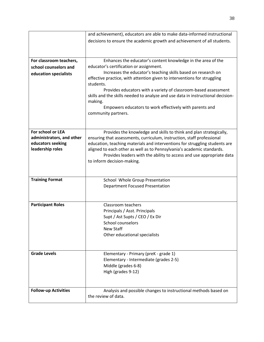|                             | and achievement), educators are able to make data-informed instructional                   |
|-----------------------------|--------------------------------------------------------------------------------------------|
|                             | decisions to ensure the academic growth and achievement of all students.                   |
|                             |                                                                                            |
|                             |                                                                                            |
| For classroom teachers,     | Enhances the educator's content knowledge in the area of the                               |
| school counselors and       | educator's certification or assignment.                                                    |
| education specialists       | Increases the educator's teaching skills based on research on                              |
|                             | effective practice, with attention given to interventions for struggling                   |
|                             | students.                                                                                  |
|                             | Provides educators with a variety of classroom-based assessment                            |
|                             | skills and the skills needed to analyze and use data in instructional decision-<br>making. |
|                             | Empowers educators to work effectively with parents and                                    |
|                             | community partners.                                                                        |
|                             |                                                                                            |
|                             |                                                                                            |
| For school or LEA           | Provides the knowledge and skills to think and plan strategically,                         |
| administrators, and other   | ensuring that assessments, curriculum, instruction, staff professional                     |
| educators seeking           | education, teaching materials and interventions for struggling students are                |
| leadership roles            | aligned to each other as well as to Pennsylvania's academic standards.                     |
|                             | Provides leaders with the ability to access and use appropriate data                       |
|                             | to inform decision-making.                                                                 |
|                             |                                                                                            |
|                             |                                                                                            |
| <b>Training Format</b>      | School Whole Group Presentation                                                            |
|                             | <b>Department Focused Presentation</b>                                                     |
|                             |                                                                                            |
|                             |                                                                                            |
| <b>Participant Roles</b>    | Classroom teachers                                                                         |
|                             | Principals / Asst. Principals                                                              |
|                             | Supt / Ast Supts / CEO / Ex Dir                                                            |
|                             | School counselors<br>New Staff                                                             |
|                             | Other educational specialists                                                              |
|                             |                                                                                            |
|                             |                                                                                            |
| <b>Grade Levels</b>         | Elementary - Primary (preK - grade 1)                                                      |
|                             | Elementary - Intermediate (grades 2-5)                                                     |
|                             | Middle (grades 6-8)                                                                        |
|                             | High (grades 9-12)                                                                         |
|                             |                                                                                            |
|                             |                                                                                            |
| <b>Follow-up Activities</b> | Analysis and possible changes to instructional methods based on                            |
|                             | the review of data.                                                                        |
|                             |                                                                                            |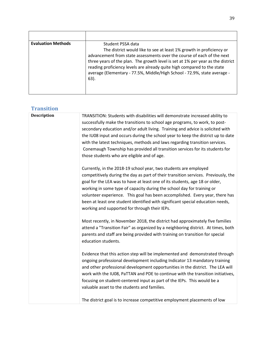| <b>Evaluation Methods</b> | Student PSSA data                                                                                                                                                                                                                                                                                                                                                                                  |
|---------------------------|----------------------------------------------------------------------------------------------------------------------------------------------------------------------------------------------------------------------------------------------------------------------------------------------------------------------------------------------------------------------------------------------------|
|                           | The district would like to see at least 1% growth in proficiency or<br>advancement from state assessments over the course of each of the next<br>three years of the plan. The growth level is set at 1% per year as the district<br>reading proficiency levels are already quite high compared to the state<br>average (Elementary - 77.5%, Middle/High School - 72.9%, state average -<br>$63$ ). |

## **Transition**

| <b>Description</b> | TRANSITION: Students with disabilities will demonstrate increased ability to<br>successfully make the transitions to school age programs, to work, to post-<br>secondary education and/or adult living. Training and advice is solicited with<br>the IU08 input and occurs during the school year to keep the district up to date<br>with the latest techniques, methods and laws regarding transition services.<br>Conemaugh Township has provided all transition services for its students for<br>those students who are eligible and of age. |
|--------------------|-------------------------------------------------------------------------------------------------------------------------------------------------------------------------------------------------------------------------------------------------------------------------------------------------------------------------------------------------------------------------------------------------------------------------------------------------------------------------------------------------------------------------------------------------|
|                    | Currently, in the 2018-19 school year, two students are employed<br>competitively during the day as part of their transition services. Previously, the<br>goal for the LEA was to have at least one of its students, age 18 or older,<br>working in some type of capacity during the school day for training or<br>volunteer experience. This goal has been accomplished. Every year, there has<br>been at least one student identified with significant special education needs,<br>working and supported for through their IEPs.              |
|                    | Most recently, in November 2018, the district had approximately five families<br>attend a "Transition Fair" as organized by a neighboring district. At times, both<br>parents and staff are being provided with training on transition for special<br>education students.                                                                                                                                                                                                                                                                       |
|                    | Evidence that this action step will be implemented and demonstrated through<br>ongoing professional development including Indicator 13 mandatory training<br>and other professional development opportunities in the district. The LEA will<br>work with the IU08, PaTTAN and PDE to continue with the transition initiatives,<br>focusing on student-centered input as part of the IEPs. This would be a<br>valuable asset to the students and families.                                                                                       |
|                    | The district goal is to increase competitive employment placements of low                                                                                                                                                                                                                                                                                                                                                                                                                                                                       |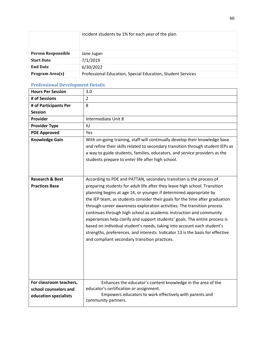|                           | incident students by 1% for each year of the plan.          |
|---------------------------|-------------------------------------------------------------|
| <b>Person Responsible</b> | Jane Jugan                                                  |
| <b>Start Date</b>         | 7/1/2019                                                    |
| <b>End Date</b>           | 6/30/2022                                                   |
| Program Area(s)           | Professional Education, Special Education, Student Services |

#### **Professional Development Details**

| <b>Hours Per Session</b>                                                  | 3.0                                                                                                                                                                                                                                                                                                                                                                                                                                                                                                                                                                                                                                                                                                                                                    |
|---------------------------------------------------------------------------|--------------------------------------------------------------------------------------------------------------------------------------------------------------------------------------------------------------------------------------------------------------------------------------------------------------------------------------------------------------------------------------------------------------------------------------------------------------------------------------------------------------------------------------------------------------------------------------------------------------------------------------------------------------------------------------------------------------------------------------------------------|
| # of Sessions                                                             | $\overline{2}$                                                                                                                                                                                                                                                                                                                                                                                                                                                                                                                                                                                                                                                                                                                                         |
| # of Participants Per                                                     | 8                                                                                                                                                                                                                                                                                                                                                                                                                                                                                                                                                                                                                                                                                                                                                      |
| <b>Session</b>                                                            |                                                                                                                                                                                                                                                                                                                                                                                                                                                                                                                                                                                                                                                                                                                                                        |
| Provider                                                                  | Intermediate Unit 8                                                                                                                                                                                                                                                                                                                                                                                                                                                                                                                                                                                                                                                                                                                                    |
| <b>Provider Type</b>                                                      | IU                                                                                                                                                                                                                                                                                                                                                                                                                                                                                                                                                                                                                                                                                                                                                     |
| <b>PDE Approved</b>                                                       | <b>Yes</b>                                                                                                                                                                                                                                                                                                                                                                                                                                                                                                                                                                                                                                                                                                                                             |
| <b>Knowledge Gain</b>                                                     | With on-going training, staff will continually develop their knowledge base<br>and refine their skills related to secondary transition through student IEPs as<br>a way to guide students, families, educators, and service providers as the<br>students prepare to enter life after high school.                                                                                                                                                                                                                                                                                                                                                                                                                                                      |
| <b>Research &amp; Best</b><br><b>Practices Base</b>                       | According to PDE and PATTAN, secondary transition is the process of<br>preparing students for adult life after they leave high school. Transition<br>planning begins at age 14, or younger if determined appropriate by<br>the IEP team, as students consider their goals for the time after graduation<br>through career awareness exploration activities. The transition process<br>continues through high school as academic instruction and community<br>experiences help clarify and support students' goals. The entire process is<br>based on individual student's needs, taking into account each student's<br>strengths, preferences, and interests. Indicator 13 is the basis for effective<br>and compliant secondary transition practices. |
| For classroom teachers,<br>school counselors and<br>education specialists | Enhances the educator's content knowledge in the area of the<br>educator's certification or assignment.<br>Empowers educators to work effectively with parents and<br>community partners.                                                                                                                                                                                                                                                                                                                                                                                                                                                                                                                                                              |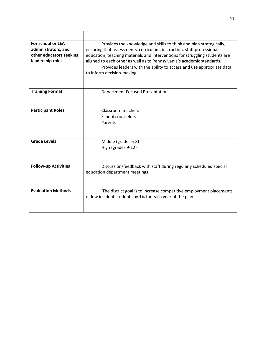| For school or LEA<br>administrators, and<br>other educators seeking<br>leadership roles | Provides the knowledge and skills to think and plan strategically,<br>ensuring that assessments, curriculum, instruction, staff professional<br>education, teaching materials and interventions for struggling students are<br>aligned to each other as well as to Pennsylvania's academic standards.<br>Provides leaders with the ability to access and use appropriate data<br>to inform decision-making. |
|-----------------------------------------------------------------------------------------|-------------------------------------------------------------------------------------------------------------------------------------------------------------------------------------------------------------------------------------------------------------------------------------------------------------------------------------------------------------------------------------------------------------|
| <b>Training Format</b>                                                                  | <b>Department Focused Presentation</b>                                                                                                                                                                                                                                                                                                                                                                      |
| <b>Participant Roles</b>                                                                | Classroom teachers<br>School counselors<br>Parents                                                                                                                                                                                                                                                                                                                                                          |
| <b>Grade Levels</b>                                                                     | Middle (grades 6-8)<br>High (grades 9-12)                                                                                                                                                                                                                                                                                                                                                                   |
| <b>Follow-up Activities</b>                                                             | Discussion/feedback with staff during regularly scheduled special<br>education department meetings                                                                                                                                                                                                                                                                                                          |
| <b>Evaluation Methods</b>                                                               | The district goal is to increase competitive employment placements<br>of low incident students by 1% for each year of the plan.                                                                                                                                                                                                                                                                             |